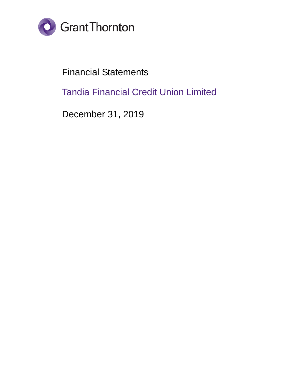

Financial Statements

Tandia Financial Credit Union Limited

December 31, 2019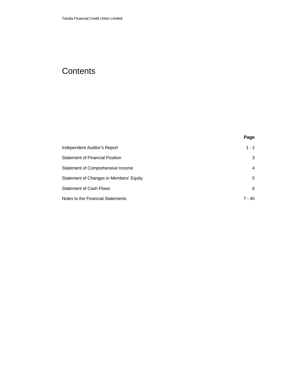# **Contents**

| Independent Auditor's Report            | 1 - 2  |
|-----------------------------------------|--------|
| Statement of Financial Position         | 3      |
| Statement of Comprehensive Income       | 4      |
| Statement of Changes in Members' Equity | 5      |
| Statement of Cash Flows                 | 6      |
| Notes to the Financial Statements       | 7 - 45 |

**Page**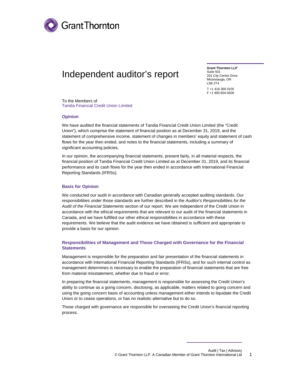

# Independent auditor's report

**Grant Thornton LLP** Suite 501 201 City Centre Drive Mississauga, ON L5B 2T4 T +1 416 366 0100 F +1 905 804 0509

To the Members of Tandia Financial Credit Union Limited

#### **Opinion**

We have audited the financial statements of Tandia Financial Credit Union Limited (the "Credit Union"), which comprise the statement of financial position as at December 31, 2019, and the statement of comprehensive income, statement of changes in members' equity and statement of cash flows for the year then ended, and notes to the financial statements, including a summary of significant accounting policies.

In our opinion, the accompanying financial statements, present fairly, in all material respects, the financial position of Tandia Financial Credit Union Limited as at December 31, 2019, and its financial performance and its cash flows for the year then ended in accordance with International Financial Reporting Standards (IFRSs).

#### **Basis for Opinion**

We conducted our audit in accordance with Canadian generally accepted auditing standards. Our responsibilities under those standards are further described in the *Auditor's Responsibilities for the Audit of the Financial Statements* section of our report. We are independent of the Credit Union in accordance with the ethical requirements that are relevant to our audit of the financial statements in Canada, and we have fulfilled our other ethical responsibilities in accordance with these requirements. We believe that the audit evidence we have obtained is sufficient and appropriate to provide a basis for our opinion.

### **Responsibilities of Management and Those Charged with Governance for the Financial Statements**

Management is responsible for the preparation and fair presentation of the financial statements in accordance with International Financial Reporting Standards (IFRSs), and for such internal control as management determines is necessary to enable the preparation of financial statements that are free from material misstatement, whether due to fraud or error.

In preparing the financial statements, management is responsible for assessing the Credit Union's ability to continue as a going concern, disclosing, as applicable, matters related to going concern and using the going concern basis of accounting unless management either intends to liquidate the Credit Union or to cease operations, or has no realistic alternative but to do so.

Those charged with governance are responsible for overseeing the Credit Union's financial reporting process.

> Audit | Tax | Advisory © Grant Thornton LLP. A Canadian Member of Grant Thornton International Ltd 1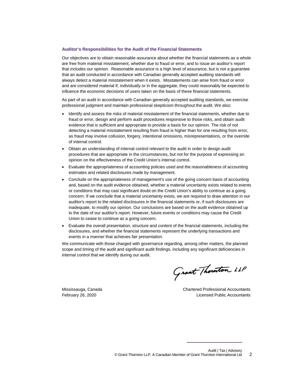#### **Auditor's Responsibilities for the Audit of the Financial Statements**

Our objectives are to obtain reasonable assurance about whether the financial statements as a whole are free from material misstatement, whether due to fraud or error, and to issue an auditor's report that includes our opinion. Reasonable assurance is a high level of assurance, but is not a guarantee that an audit conducted in accordance with Canadian generally accepted auditing standards will always detect a material misstatement when it exists. Misstatements can arise from fraud or error and are considered material if, individually or in the aggregate, they could reasonably be expected to influence the economic decisions of users taken on the basis of these financial statements.

As part of an audit in accordance with Canadian generally accepted auditing standards, we exercise professional judgment and maintain professional skepticism throughout the audit. We also:

- Identify and assess the risks of material misstatement of the financial statements, whether due to fraud or error, design and perform audit procedures responsive to those risks, and obtain audit evidence that is sufficient and appropriate to provide a basis for our opinion. The risk of not detecting a material misstatement resulting from fraud is higher than for one resulting from error, as fraud may involve collusion, forgery, intentional omissions, misrepresentations, or the override of internal control.
- Obtain an understanding of internal control relevant to the audit in order to design audit procedures that are appropriate in the circumstances, but not for the purpose of expressing an opinion on the effectiveness of the Credit Union's internal control.
- Evaluate the appropriateness of accounting policies used and the reasonableness of accounting estimates and related disclosures made by management.
- Conclude on the appropriateness of management's use of the going concern basis of accounting and, based on the audit evidence obtained, whether a material uncertainty exists related to events or conditions that may cast significant doubt on the Credit Union's ability to continue as a going concern. If we conclude that a material uncertainty exists, we are required to draw attention in our auditor's report to the related disclosures in the financial statements or, if such disclosures are inadequate, to modify our opinion. Our conclusions are based on the audit evidence obtained up to the date of our auditor's report. However, future events or conditions may cause the Credit Union to cease to continue as a going concern.
- Evaluate the overall presentation, structure and content of the financial statements, including the disclosures, and whether the financial statements represent the underlying transactions and events in a manner that achieves fair presentation.

We communicate with those charged with governance regarding, among other matters, the planned scope and timing of the audit and significant audit findings, including any significant deficiencies in internal control that we identify during our audit.

Grant Thornton LLP

Mississauga, Canada Chartered Professional Accountants February 26, 2020 Licensed Public Accountants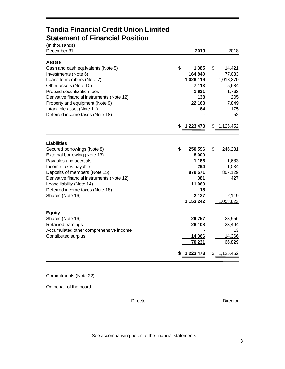| (In thousands)<br>December 31                                                                                                                                                                                                                                                                         | 2019                                                                                           | 2018                                                                    |
|-------------------------------------------------------------------------------------------------------------------------------------------------------------------------------------------------------------------------------------------------------------------------------------------------------|------------------------------------------------------------------------------------------------|-------------------------------------------------------------------------|
|                                                                                                                                                                                                                                                                                                       |                                                                                                |                                                                         |
| Assets                                                                                                                                                                                                                                                                                                |                                                                                                |                                                                         |
| Cash and cash equivalents (Note 5)                                                                                                                                                                                                                                                                    | \$<br>1,385                                                                                    | \$<br>14,421                                                            |
| Investments (Note 6)                                                                                                                                                                                                                                                                                  | 164,840                                                                                        | 77,033                                                                  |
| Loans to members (Note 7)                                                                                                                                                                                                                                                                             | 1,026,119                                                                                      | 1,018,270                                                               |
| Other assets (Note 10)                                                                                                                                                                                                                                                                                | 7,113                                                                                          | 5,684                                                                   |
| Prepaid securitization fees                                                                                                                                                                                                                                                                           | 1,631                                                                                          | 1,763                                                                   |
| Derivative financial instruments (Note 12)                                                                                                                                                                                                                                                            | 138                                                                                            | 205                                                                     |
| Property and equipment (Note 9)                                                                                                                                                                                                                                                                       | 22,163                                                                                         | 7,849                                                                   |
| Intangible asset (Note 11)                                                                                                                                                                                                                                                                            | 84                                                                                             | 175                                                                     |
| Deferred income taxes (Note 18)                                                                                                                                                                                                                                                                       |                                                                                                | 52                                                                      |
|                                                                                                                                                                                                                                                                                                       | \$1,223,473                                                                                    | \$1,125,452                                                             |
| <b>Liabilities</b><br>Secured borrowings (Note 8)<br>External borrowing (Note 13)<br>Payables and accruals<br>Income taxes payable<br>Deposits of members (Note 15)<br>Derivative financial instruments (Note 12)<br>Lease liability (Note 14)<br>Deferred income taxes (Note 18)<br>Shares (Note 16) | \$<br>250,596<br>8,000<br>1,186<br>294<br>879,571<br>381<br>11,069<br>18<br>2,127<br>1,153,242 | \$<br>246,231<br>1,683<br>1,034<br>807,129<br>427<br>2,119<br>1,058,623 |
| <b>Equity</b>                                                                                                                                                                                                                                                                                         |                                                                                                |                                                                         |
| Shares (Note 16)                                                                                                                                                                                                                                                                                      | 29,757                                                                                         | 28,956                                                                  |
| Retained earnings                                                                                                                                                                                                                                                                                     | 26,108                                                                                         | 23,494                                                                  |
| Accumulated other comprehensive income                                                                                                                                                                                                                                                                |                                                                                                | 13                                                                      |
| Contributed surplus                                                                                                                                                                                                                                                                                   | 14,366                                                                                         | 14,366                                                                  |
|                                                                                                                                                                                                                                                                                                       | 70,231                                                                                         | 66,829                                                                  |
|                                                                                                                                                                                                                                                                                                       | 1,223,473<br>\$                                                                                | \$<br>1,125,452                                                         |

# **Tandia Financial Credit Union Limited Statement of Financial Position**

Commitments (Note 22)

On behalf of the board

**Director** Director **Director Director Director Director**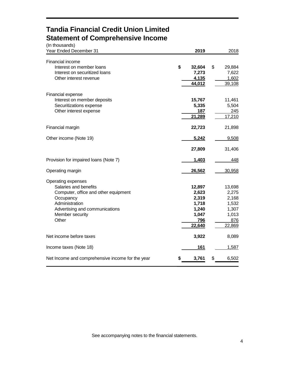# **Tandia Financial Credit Union Limited Statement of Comprehensive Income**

| (In thousands)<br>Year Ended December 31                                                                                                                                         | 2019                                                                 |    | 2018                                                                 |
|----------------------------------------------------------------------------------------------------------------------------------------------------------------------------------|----------------------------------------------------------------------|----|----------------------------------------------------------------------|
| Financial income<br>Interest on member loans<br>Interest on securitized loans<br>Other interest revenue                                                                          | \$<br>32,604<br>7,273<br>4,135<br>44,012                             | \$ | 29,884<br>7,622<br>1,602<br>39,108                                   |
| Financial expense<br>Interest on member deposits<br>Securitizations expense<br>Other interest expense                                                                            | 15,767<br>5,335<br>187<br>21,289                                     |    | 11,461<br>5,504<br>245<br>17,210                                     |
| Financial margin                                                                                                                                                                 | 22,723                                                               |    | 21,898                                                               |
| Other income (Note 19)                                                                                                                                                           | 5,242                                                                |    | 9,508                                                                |
|                                                                                                                                                                                  | 27,809                                                               |    | 31,406                                                               |
| Provision for impaired loans (Note 7)                                                                                                                                            | 1,403                                                                |    | 448                                                                  |
| Operating margin                                                                                                                                                                 | 26,562                                                               |    | 30,958                                                               |
| Operating expenses<br>Salaries and benefits<br>Computer, office and other equipment<br>Occupancy<br>Administration<br>Advertising and communications<br>Member security<br>Other | 12,897<br>2,623<br>2,319<br>1,718<br>1,240<br>1,047<br>796<br>22,640 |    | 13,698<br>2,275<br>2,168<br>1,532<br>1,307<br>1,013<br>876<br>22,869 |
| Net income before taxes                                                                                                                                                          | 3,922                                                                |    | 8,089                                                                |
| Income taxes (Note 18)                                                                                                                                                           | 161                                                                  |    | 1,587                                                                |
| Net Income and comprehensive income for the year                                                                                                                                 | 3,761                                                                | S  | 6,502                                                                |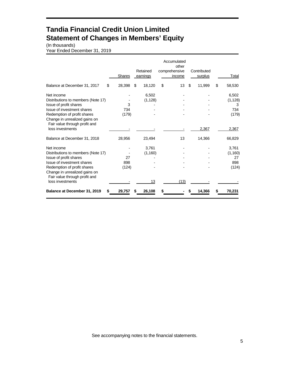# **Tandia Financial Credit Union Limited Statement of Changes in Members' Equity**

(In thousands)

Year Ended December 31, 2019

|                                                                                                                                                                          | Shares             | Retained<br>earnings | Accumulated<br>other<br>comprehensive<br>income | Contributed<br>surplus | Total                                   |
|--------------------------------------------------------------------------------------------------------------------------------------------------------------------------|--------------------|----------------------|-------------------------------------------------|------------------------|-----------------------------------------|
| Balance at December 31, 2017                                                                                                                                             | \$<br>28,398       | \$<br>18,120         | \$<br>13                                        | \$<br>11,999           | \$<br>58,530                            |
| Net income<br>Distributions to members (Note 17)<br>Issue of profit shares<br>Issue of investment shares<br>Redemption of profit shares<br>Change in unrealized gains on | 3<br>734<br>(179)  | 6,502<br>(1, 128)    |                                                 |                        | 6,502<br>(1, 128)<br>3<br>734<br>(179)  |
| Fair value through profit and<br>loss investments                                                                                                                        |                    |                      |                                                 | 2,367                  | 2,367                                   |
| Balance at December 31, 2018                                                                                                                                             | 28,956             | 23,494               | 13                                              | 14,366                 | 66,829                                  |
| Net income<br>Distributions to members (Note 17)<br>Issue of profit shares<br>Issue of investment shares<br>Redemption of profit shares<br>Change in unrealized gains on | 27<br>898<br>(124) | 3,761<br>(1, 160)    |                                                 |                        | 3,761<br>(1, 160)<br>27<br>898<br>(124) |
| Fair value through profit and<br>loss investments                                                                                                                        |                    | 13                   | (13)                                            |                        |                                         |
| Balance at December 31, 2019                                                                                                                                             | 29,757<br>S        | 26,108<br>S          |                                                 | 14,366                 | 70,231                                  |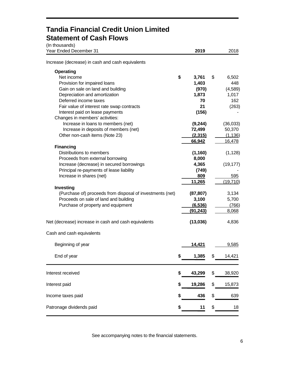| (In thousands)                                            |    |           |     |           |
|-----------------------------------------------------------|----|-----------|-----|-----------|
| <b>Year Ended December 31</b>                             |    | 2019      |     | 2018      |
|                                                           |    |           |     |           |
| Increase (decrease) in cash and cash equivalents          |    |           |     |           |
| <b>Operating</b>                                          |    |           |     |           |
| Net income                                                | \$ | 3,761     | \$  | 6,502     |
| Provision for impaired loans                              |    | 1,403     |     | 448       |
| Gain on sale on land and building                         |    | (970)     |     | (4, 589)  |
| Depreciation and amortization                             |    | 1,873     |     | 1,017     |
| Deferred income taxes                                     |    | 70        |     | 162       |
| Fair value of interest rate swap contracts                |    | 21        |     | (263)     |
| Interest paid on lease payments                           |    | (156)     |     |           |
| Changes in members' activities:                           |    |           |     |           |
| Increase in loans to members (net)                        |    | (9, 244)  |     | (36, 033) |
| Increase in deposits of members (net)                     |    | 72,499    |     | 50,370    |
|                                                           |    |           |     |           |
| Other non-cash items (Note 23)                            |    | (2, 315)  |     | (1, 136)  |
|                                                           |    | 66,942    |     | 16,478    |
| <b>Financing</b>                                          |    |           |     |           |
| Distributions to members                                  |    | (1, 160)  |     | (1, 128)  |
| Proceeds from external borrowing                          |    | 8,000     |     |           |
| Increase (decrease) in secured borrowings                 |    | 4,365     |     | (19, 177) |
| Principal re-payments of lease liability                  |    | (749)     |     |           |
| Increase in shares (net)                                  |    | 809       |     | 595       |
|                                                           |    | 11,265    |     | (19, 710) |
| Investing                                                 |    |           |     |           |
| (Purchase of) proceeds from disposal of investments (net) |    | (87, 807) |     | 3,134     |
| Proceeds on sale of land and building                     |    | 3,100     |     | 5,700     |
| Purchase of property and equipment                        |    | (6, 536)  |     | (766)     |
|                                                           |    | (91, 243) |     |           |
|                                                           |    |           |     | 8,068     |
| Net (decrease) increase in cash and cash equivalents      |    | (13,036)  |     | 4,836     |
| Cash and cash equivalents                                 |    |           |     |           |
|                                                           |    |           |     |           |
| Beginning of year                                         |    | 14,421    |     | 9,585     |
|                                                           |    |           |     |           |
| End of year                                               | \$ | 1,385     | \$. | 14,421    |
|                                                           |    |           |     |           |
| Interest received                                         | \$ | 43,299    | \$  | 38,920    |
|                                                           |    |           |     |           |
| Interest paid                                             | \$ | 19,286    | \$  | 15,873    |
| Income taxes paid                                         | S  | 436       | \$  | 639       |
|                                                           |    |           |     |           |
| Patronage dividends paid                                  |    | 11        | \$  | 18        |
|                                                           |    |           |     |           |

# **Tandia Financial Credit Union Limited Statement of Cash Flows**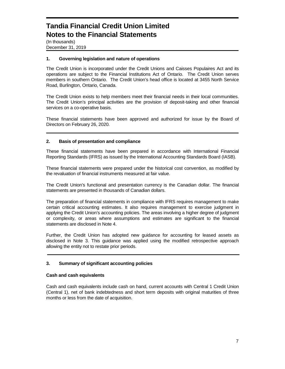(In thousands) December 31, 2019

### **1. Governing legislation and nature of operations**

The Credit Union is incorporated under the Credit Unions and Caisses Populaires Act and its operations are subject to the Financial Institutions Act of Ontario. The Credit Union serves members in southern Ontario. The Credit Union's head office is located at 3455 North Service Road, Burlington, Ontario, Canada.

The Credit Union exists to help members meet their financial needs in their local communities. The Credit Union's principal activities are the provision of deposit-taking and other financial services on a co-operative basis.

These financial statements have been approved and authorized for issue by the Board of Directors on February 26, 2020.

### **2. Basis of presentation and compliance**

These financial statements have been prepared in accordance with International Financial Reporting Standards (IFRS) as issued by the International Accounting Standards Board (IASB).

These financial statements were prepared under the historical cost convention, as modified by the revaluation of financial instruments measured at fair value.

The Credit Union's functional and presentation currency is the Canadian dollar. The financial statements are presented in thousands of Canadian dollars.

The preparation of financial statements in compliance with IFRS requires management to make certain critical accounting estimates. It also requires management to exercise judgment in applying the Credit Union's accounting policies. The areas involving a higher degree of judgment or complexity, or areas where assumptions and estimates are significant to the financial statements are disclosed in Note 4.

Further, the Credit Union has adopted new guidance for accounting for leased assets as disclosed in Note 3. This guidance was applied using the modified retrospective approach allowing the entity not to restate prior periods.

### **3. Summary of significant accounting policies**

### **Cash and cash equivalents**

Cash and cash equivalents include cash on hand, current accounts with Central 1 Credit Union (Central 1), net of bank indebtedness and short term deposits with original maturities of three months or less from the date of acquisition.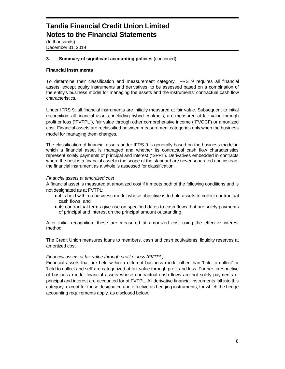(In thousands) December 31, 2019

### **3. Summary of significant accounting policies** (continued)

### **Financial Instruments**

To determine their classification and measurement category, IFRS 9 requires all financial assets, except equity instruments and derivatives, to be assessed based on a combination of the entity's business model for managing the assets and the instruments' contractual cash flow characteristics.

Under IFRS 9, all financial instruments are initially measured at fair value. Subsequent to initial recognition, all financial assets, including hybrid contracts, are measured at fair value through profit or loss ("FVTPL"), fair value through other comprehensive income ("FVOCI") or amortized cost. Financial assets are reclassified between measurement categories only when the business model for managing them changes.

The classification of financial assets under IFRS 9 is generally based on the business model in which a financial asset is managed and whether its contractual cash flow characteristics represent solely payments of principal and interest ("SPPI"). Derivatives embedded in contracts where the host is a financial asset in the scope of the standard are never separated and instead, the financial instrument as a whole is assessed for classification.

### *Financial assets at amortized cost*

A financial asset is measured at amortized cost if it meets both of the following conditions and is not designated as at FVTPL:

- it is held within a business model whose objective is to hold assets to collect contractual cash flows; and
- its contractual terms give rise on specified dates to cash flows that are solely payments of principal and interest on the principal amount outstanding.

After initial recognition, these are measured at amortized cost using the effective interest method.

The Credit Union measures loans to members, cash and cash equivalents, liquidity reserves at amortized cost.

### *Financial assets at fair value through profit or loss (FVTPL)*

Financial assets that are held within a different business model other than 'hold to collect' or 'hold to collect and sell' are categorized at fair value through profit and loss. Further, irrespective of business model financial assets whose contractual cash flows are not solely payments of principal and interest are accounted for at FVTPL. All derivative financial instruments fall into this category, except for those designated and effective as hedging instruments, for which the hedge accounting requirements apply, as disclosed below.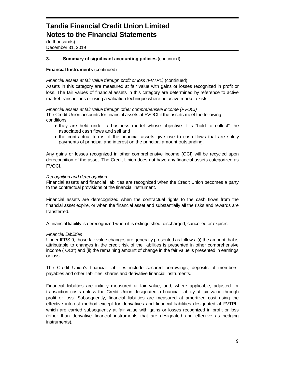(In thousands) December 31, 2019

### **3. Summary of significant accounting policies** (continued)

### **Financial Instruments** (continued)

*Financial assets at fair value through profit or loss (FVTPL)* (continued)

Assets in this category are measured at fair value with gains or losses recognized in profit or loss. The fair values of financial assets in this category are determined by reference to active market transactions or using a valuation technique where no active market exists.

### *Financial assets at fair value through other comprehensive income (FVOCI)* The Credit Union accounts for financial assets at FVOCI if the assets meet the following

conditions:

- they are held under a business model whose objective it is "hold to collect" the associated cash flows and sell and
- the contractual terms of the financial assets give rise to cash flows that are solely payments of principal and interest on the principal amount outstanding.

Any gains or losses recognized in other comprehensive income (OCI) will be recycled upon derecognition of the asset. The Credit Union does not have any financial assets categorized as FVOCI.

### *Recognition and derecognition*

Financial assets and financial liabilities are recognized when the Credit Union becomes a party to the contractual provisions of the financial instrument.

Financial assets are derecognized when the contractual rights to the cash flows from the financial asset expire, or when the financial asset and substantially all the risks and rewards are transferred.

A financial liability is derecognized when it is extinguished, discharged, cancelled or expires.

### *Financial liabilities*

Under IFRS 9, those fair value changes are generally presented as follows: (i) the amount that is attributable to changes in the credit risk of the liabilities is presented in other comprehensive income ("OCI") and (ii) the remaining amount of change in the fair value is presented in earnings or loss.

The Credit Union's financial liabilities include secured borrowings, deposits of members, payables and other liabilities, shares and derivative financial instruments.

Financial liabilities are initially measured at fair value, and, where applicable, adjusted for transaction costs unless the Credit Union designated a financial liability at fair value through profit or loss. Subsequently, financial liabilities are measured at amortized cost using the effective interest method except for derivatives and financial liabilities designated at FVTPL, which are carried subsequently at fair value with gains or losses recognized in profit or loss (other than derivative financial instruments that are designated and effective as hedging instruments).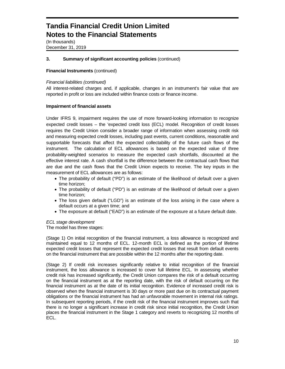(In thousands) December 31, 2019

### **3. Summary of significant accounting policies** (continued)

### **Financial Instruments** (continued)

### *Financial liabilities (continued)*

All interest-related charges and, if applicable, changes in an instrument's fair value that are reported in profit or loss are included within finance costs or finance income.

### **Impairment of financial assets**

Under IFRS 9, impairment requires the use of more forward-looking information to recognize expected credit losses – the 'expected credit loss (ECL) model. Recognition of credit losses requires the Credit Union consider a broader range of information when assessing credit risk and measuring expected credit losses, including past events, current conditions, reasonable and supportable forecasts that affect the expected collectability of the future cash flows of the instrument. The calculation of ECL allowances is based on the expected value of three probability-weighted scenarios to measure the expected cash shortfalls, discounted at the effective interest rate. A cash shortfall is the difference between the contractual cash flows that are due and the cash flows that the Credit Union expects to receive. The key inputs in the measurement of ECL allowances are as follows:

- The probability of default ("PD") is an estimate of the likelihood of default over a given time horizon;
- The probability of default ("PD") is an estimate of the likelihood of default over a given time horizon;
- The loss given default ("LGD") is an estimate of the loss arising in the case where a default occurs at a given time; and
- The exposure at default ("EAD") is an estimate of the exposure at a future default date.

### *ECL stage development*

The model has three stages:

(Stage 1) On initial recognition of the financial instrument, a loss allowance is recognized and maintained equal to 12 months of ECL. 12-month ECL is defined as the portion of lifetime expected credit losses that represent the expected credit losses that result from default events on the financial instrument that are possible within the 12 months after the reporting date.

(Stage 2) If credit risk increases significantly relative to initial recognition of the financial instrument, the loss allowance is increased to cover full lifetime ECL. In assessing whether credit risk has increased significantly, the Credit Union compares the risk of a default occurring on the financial instrument as at the reporting date, with the risk of default occurring on the financial instrument as at the date of its initial recognition. Evidence of increased credit risk is observed when the financial instrument is 30 days or more past due on its contractual payment obligations or the financial instrument has had an unfavorable movement in internal risk ratings. In subsequent reporting periods, if the credit risk of the financial instrument improves such that there is no longer a significant increase in credit risk since initial recognition, the Credit Union places the financial instrument in the Stage 1 category and reverts to recognizing 12 months of ECL.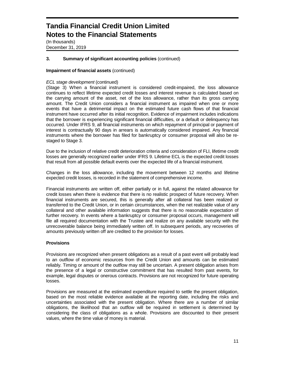(In thousands) December 31, 2019

### **3. Summary of significant accounting policies** (continued)

### **Impairment of financial assets** (continued)

#### *ECL stage development* (continued)

(Stage 3) When a financial instrument is considered credit-impaired, the loss allowance continues to reflect lifetime expected credit losses and interest revenue is calculated based on the carrying amount of the asset, net of the loss allowance, rather than its gross carrying amount. The Credit Union considers a financial instrument as impaired when one or more events that have a detrimental impact on the estimated future cash flows of that financial instrument have occurred after its initial recognition. Evidence of impairment includes indications that the borrower is experiencing significant financial difficulties, or a default or delinquency has occurred. Under IFRS 9, all financial instruments on which repayment of principal or payment of interest is contractually 90 days in arrears is automatically considered impaired. Any financial instruments where the borrower has filed for bankruptcy or consumer proposal will also be restaged to Stage 3.

Due to the inclusion of relative credit deterioration criteria and consideration of FLI, lifetime credit losses are generally recognized earlier under IFRS 9. Lifetime ECL is the expected credit losses that result from all possible default events over the expected life of a financial instrument.

Changes in the loss allowance, including the movement between 12 months and lifetime expected credit losses, is recorded in the statement of comprehensive income.

Financial instruments are written off, either partially or in full, against the related allowance for credit losses when there is evidence that there is no realistic prospect of future recovery. When financial instruments are secured, this is generally after all collateral has been realized or transferred to the Credit Union, or in certain circumstances, when the net realizable value of any collateral and other available information suggests that there is no reasonable expectation of further recovery. In events where a bankruptcy or consumer proposal occurs, management will file all required documentation with the Trustee and realize on any available security with the unrecoverable balance being immediately written off. In subsequent periods, any recoveries of amounts previously written off are credited to the provision for losses.

### **Provisions**

Provisions are recognized when present obligations as a result of a past event will probably lead to an outflow of economic resources from the Credit Union and amounts can be estimated reliably. Timing or amount of the outflow may still be uncertain. A present obligation arises from the presence of a legal or constructive commitment that has resulted from past events, for example, legal disputes or onerous contracts. Provisions are not recognized for future operating losses.

Provisions are measured at the estimated expenditure required to settle the present obligation, based on the most reliable evidence available at the reporting date, including the risks and uncertainties associated with the present obligation. Where there are a number of similar obligations, the likelihood that an outflow will be required in settlement is determined by considering the class of obligations as a whole. Provisions are discounted to their present values, where the time value of money is material.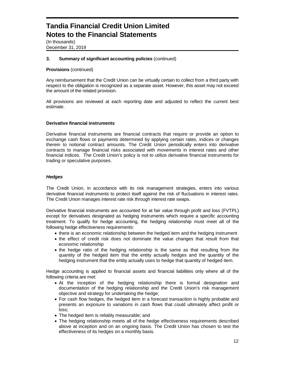(In thousands) December 31, 2019

### **3. Summary of significant accounting policies** (continued)

### **Provisions** (continued)

Any reimbursement that the Credit Union can be virtually certain to collect from a third party with respect to the obligation is recognized as a separate asset. However, this asset may not exceed the amount of the related provision.

All provisions are reviewed at each reporting date and adjusted to reflect the current best estimate.

### **Derivative financial instruments**

Derivative financial instruments are financial contracts that require or provide an option to exchange cash flows or payments determined by applying certain rates, indices or changes therein to notional contract amounts. The Credit Union periodically enters into derivative contracts to manage financial risks associated with movements in interest rates and other financial indices. The Credit Union's policy is not to utilize derivative financial instruments for trading or speculative purposes.

#### *Hedges*

The Credit Union, in accordance with its risk management strategies, enters into various derivative financial instruments to protect itself against the risk of fluctuations in interest rates. The Credit Union manages interest rate risk through interest rate swaps.

Derivative financial instruments are accounted for at fair value through profit and loss (FVTPL) except for derivatives designated as hedging instruments which require a specific accounting treatment. To qualify for hedge accounting, the hedging relationship must meet all of the following hedge effectiveness requirements:

- there is an economic relationship between the hedged item and the hedging instrument
- the effect of credit risk does not dominate the value changes that result from that economic relationship
- the hedge ratio of the hedging relationship is the same as that resulting from the quantity of the hedged item that the entity actually hedges and the quantity of the hedging instrument that the entity actually uses to hedge that quantity of hedged item.

Hedge accounting is applied to financial assets and financial liabilities only where all of the following criteria are met:

- At the inception of the hedging relationship there is formal designation and documentation of the hedging relationship and the Credit Union's risk management objective and strategy for undertaking the hedge;
- For cash flow hedges, the hedged item in a forecast transaction is highly probable and presents an exposure to variations in cash flows that could ultimately affect profit or loss;
- The hedged item is reliably measurable; and
- The hedging relationship meets all of the hedge effectiveness requirements described above at inception and on an ongoing basis. The Credit Union has chosen to test the effectiveness of its hedges on a monthly basis.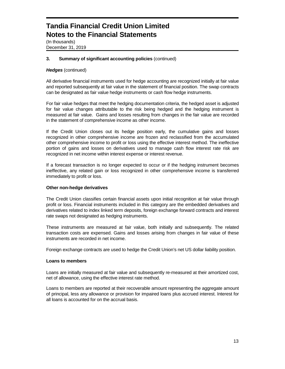(In thousands) December 31, 2019

### **3. Summary of significant accounting policies** (continued)

### *Hedges* (continued)

All derivative financial instruments used for hedge accounting are recognized initially at fair value and reported subsequently at fair value in the statement of financial position. The swap contracts can be designated as fair value hedge instruments or cash flow hedge instruments.

For fair value hedges that meet the hedging documentation criteria, the hedged asset is adjusted for fair value changes attributable to the risk being hedged and the hedging instrument is measured at fair value. Gains and losses resulting from changes in the fair value are recorded in the statement of comprehensive income as other income.

If the Credit Union closes out its hedge position early, the cumulative gains and losses recognized in other comprehensive income are frozen and reclassified from the accumulated other comprehensive income to profit or loss using the effective interest method. The ineffective portion of gains and losses on derivatives used to manage cash flow interest rate risk are recognized in net income within interest expense or interest revenue.

If a forecast transaction is no longer expected to occur or if the hedging instrument becomes ineffective, any related gain or loss recognized in other comprehensive income is transferred immediately to profit or loss.

### **Other non-hedge derivatives**

The Credit Union classifies certain financial assets upon initial recognition at fair value through profit or loss. Financial instruments included in this category are the embedded derivatives and derivatives related to index linked term deposits, foreign exchange forward contracts and interest rate swaps not designated as hedging instruments.

These instruments are measured at fair value, both initially and subsequently. The related transaction costs are expensed. Gains and losses arising from changes in fair value of these instruments are recorded in net income.

Foreign exchange contracts are used to hedge the Credit Union's net US dollar liability position.

### **Loans to members**

Loans are initially measured at fair value and subsequently re-measured at their amortized cost, net of allowance, using the effective interest rate method.

Loans to members are reported at their recoverable amount representing the aggregate amount of principal, less any allowance or provision for impaired loans plus accrued interest. Interest for all loans is accounted for on the accrual basis.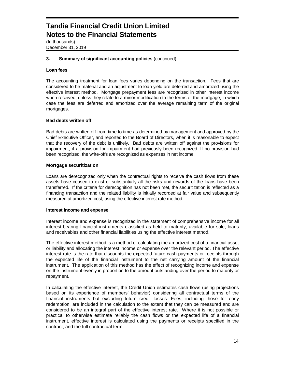(In thousands) December 31, 2019

### **3. Summary of significant accounting policies** (continued)

### **Loan fees**

The accounting treatment for loan fees varies depending on the transaction. Fees that are considered to be material and an adjustment to loan yield are deferred and amortized using the effective interest method. Mortgage prepayment fees are recognized in other interest income when received, unless they relate to a minor modification to the terms of the mortgage, in which case the fees are deferred and amortized over the average remaining term of the original mortgages.

### **Bad debts written off**

Bad debts are written off from time to time as determined by management and approved by the Chief Executive Officer, and reported to the Board of Directors, when it is reasonable to expect that the recovery of the debt is unlikely. Bad debts are written off against the provisions for impairment, if a provision for impairment had previously been recognized. If no provision had been recognized, the write-offs are recognized as expenses in net income.

### **Mortgage securitization**

Loans are derecognized only when the contractual rights to receive the cash flows from these assets have ceased to exist or substantially all the risks and rewards of the loans have been transferred. If the criteria for derecognition has not been met, the securitization is reflected as a financing transaction and the related liability is initially recorded at fair value and subsequently measured at amortized cost, using the effective interest rate method.

#### **Interest income and expense**

Interest income and expense is recognized in the statement of comprehensive income for all interest-bearing financial instruments classified as held to maturity, available for sale, loans and receivables and other financial liabilities using the effective interest method.

The effective interest method is a method of calculating the amortized cost of a financial asset or liability and allocating the interest income or expense over the relevant period. The effective interest rate is the rate that discounts the expected future cash payments or receipts through the expected life of the financial instrument to the net carrying amount of the financial instrument. The application of this method has the effect of recognizing income and expense on the instrument evenly in proportion to the amount outstanding over the period to maturity or repayment.

In calculating the effective interest, the Credit Union estimates cash flows (using projections based on its experience of members' behavior) considering all contractual terms of the financial instruments but excluding future credit losses. Fees, including those for early redemption, are included in the calculation to the extent that they can be measured and are considered to be an integral part of the effective interest rate. Where it is not possible or practical to otherwise estimate reliably the cash flows or the expected life of a financial instrument, effective interest is calculated using the payments or receipts specified in the contract, and the full contractual term.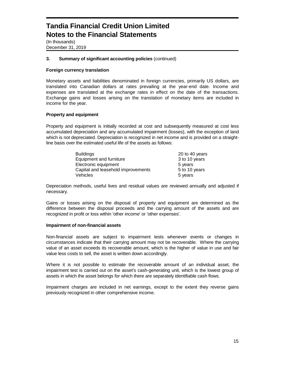(In thousands) December 31, 2019

### **3. Summary of significant accounting policies** (continued)

### **Foreign currency translation**

Monetary assets and liabilities denominated in foreign currencies, primarily US dollars, are translated into Canadian dollars at rates prevailing at the year-end date. Income and expenses are translated at the exchange rates in effect on the date of the transactions. Exchange gains and losses arising on the translation of monetary items are included in income for the year.

### **Property and equipment**

Property and equipment is initially recorded at cost and subsequently measured at cost less accumulated depreciation and any accumulated impairment (losses), with the exception of land which is not depreciated. Depreciation is recognized in net income and is provided on a straightline basis over the estimated useful life of the assets as follows:

| <b>Buildings</b>                   | 20 to 40 years |
|------------------------------------|----------------|
| Equipment and furniture            | 3 to 10 years  |
| Electronic equipment               | 5 years        |
| Capital and leasehold improvements | 5 to 10 years  |
| <b>Vehicles</b>                    | 5 years        |

Depreciation methods, useful lives and residual values are reviewed annually and adjusted if necessary.

Gains or losses arising on the disposal of property and equipment are determined as the difference between the disposal proceeds and the carrying amount of the assets and are recognized in profit or loss within 'other income' or 'other expenses'.

### **Impairment of non-financial assets**

Non-financial assets are subject to impairment tests whenever events or changes in circumstances indicate that their carrying amount may not be recoverable. Where the carrying value of an asset exceeds its recoverable amount, which is the higher of value in use and fair value less costs to sell, the asset is written down accordingly.

Where it is not possible to estimate the recoverable amount of an individual asset, the impairment test is carried out on the asset's cash-generating unit, which is the lowest group of assets in which the asset belongs for which there are separately identifiable cash flows.

Impairment charges are included in net earnings, except to the extent they reverse gains previously recognized in other comprehensive income.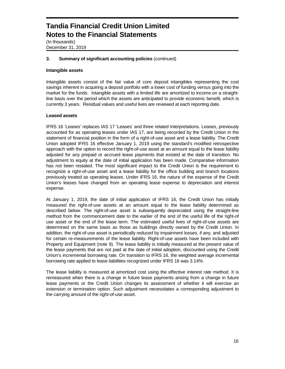(In thousands) December 31, 2019

### **3. Summary of significant accounting policies** (continued)

### **Intangible assets**

Intangible assets consist of the fair value of core deposit intangibles representing the cost savings inherent in acquiring a deposit portfolio with a lower cost of funding versus going into the market for the funds. Intangible assets with a limited life are amortized to income on a straightline basis over the period which the assets are anticipated to provide economic benefit, which is currently 3 years. Residual values and useful lives are reviewed at each reporting date.

#### **Leased assets**

IFRS 16 'Leases' replaces IAS 17 'Leases' and three related Interpretations. Leases, previously accounted for as operating leases under IAS 17, are being recorded by the Credit Union in the statement of financial position in the form of a right-of-use asset and a lease liability. The Credit Union adopted IFRS 16 effective January 1, 2019 using the standard's modified retrospective approach with the option to record the right-of-use asset at an amount equal to the lease liability adjusted for any prepaid or accrued lease payments that existed at the date of transition. No adjustment to equity at the date of initial application has been made. Comparative information has not been restated. The most significant impact to the Credit Union is the requirement to recognize a right-of-use asset and a lease liability for the office building and branch locations previously treated as operating leases. Under IFRS 16, the nature of the expense of the Credit Union's leases have changed from an operating lease expense to depreciation and interest expense.

At January 1, 2019, the date of initial application of IFRS 16, the Credit Union has initially measured the right-of-use assets at an amount equal to the lease liability determined as described below. The right-of-use asset is subsequently depreciated using the straight-line method from the commencement date to the earlier of the end of the useful life of the right-of use asset or the end of the lease term. The estimated useful lives of right-of-use assets are determined on the same basis as those as buildings directly owned by the Credit Union. In addition, the right-of-use asset is periodically reduced by impairment losses, if any, and adjusted for certain re-measurements of the lease liability. Right-of-use assets have been included with Property and Equipment (note 9). The lease liability is initially measured at the present value of the lease payments that are not paid at the date of initial adoption, discounted using the Credit Union's incremental borrowing rate. On transition to IFRS 16, the weighted average incremental borrowing rate applied to lease liabilities recognized under IFRS 16 was 3.14%.

The lease liability is measured at amortized cost using the effective interest rate method. It is remeasured when there is a change in future lease payments arising from a change in future lease payments or the Credit Union changes its assessment of whether it will exercise an extension or termination option. Such adjustment necessitates a corresponding adjustment to the carrying amount of the right-of-use asset.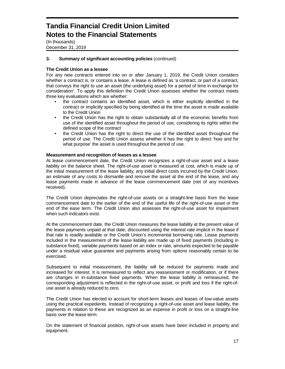(In thousands) December 31, 2019

### **3. Summary of significant accounting policies** (continued)

### **The Credit Union as a lessee**

For any new contracts entered into on or after January 1, 2019, the Credit Union considers whether a contract is, or contains a lease. A lease is defined as 'a contract, or part of a contract, that conveys the right to use an asset (the underlying asset) for a period of time in exchange for consideration'. To apply this definition the Credit Union assesses whether the contract meets three key evaluations which are whether:

- the contract contains an identified asset, which is either explicitly identified in the contract or implicitly specified by being identified at the time the asset is made available to the Credit Union
- the Credit Union has the right to obtain substantially all of the economic benefits from use of the identified asset throughout the period of use, considering its rights within the defined scope of the contract
- the Credit Union has the right to direct the use of the identified asset throughout the period of use. The Credit Union assess whether it has the right to direct 'how and for what purpose' the asset is used throughout the period of use.

### **Measurement and recognition of leases as a lessee**

At lease commencement date, the Credit Union recognizes a right-of-use asset and a lease liability on the balance sheet. The right-of-use asset is measured at cost, which is made up of the initial measurement of the lease liability, any initial direct costs incurred by the Credit Union, an estimate of any costs to dismantle and remove the asset at the end of the lease, and any lease payments made in advance of the lease commencement date (net of any incentives received).

The Credit Union depreciates the right-of-use assets on a straight-line basis from the lease commencement date to the earlier of the end of the useful life of the right-of-use asset or the end of the ease term. The Credit Union also assesses the right-of-use asset for impairment when such indicators exist.

At the commencement date, the Credit Union measures the lease liability at the present value of the lease payments unpaid at that date, discounted using the interest rate implicit in the lease if that rate is readily available or the Credit Union's incremental borrowing rate. Lease payments included in the measurement of the lease liability are made up of fixed payments (including in substance fixed), variable payments based on an index or rate, amounts expected to be payable under a residual value guarantee and payments arising from options reasonably certain to be exercised.

Subsequent to initial measurement, the liability will be reduced for payments made and increased for interest. It is remeasured to reflect any reassessment or modification, or if there are changes in in-substance fixed payments. When the lease liability is remeasured, the corresponding adjustment is reflected in the right-of-use asset, or profit and loss if the right-ofuse asset is already reduced to zero.

The Credit Union has elected to account for short-term leases and leases of low-value assets using the practical expedients. Instead of recognizing a right-of-use asset and lease liability, the payments in relation to these are recognized as an expense in profit or loss on a straight-line basis over the lease term.

On the statement of financial position, right-of-use assets have been included in property and equipment.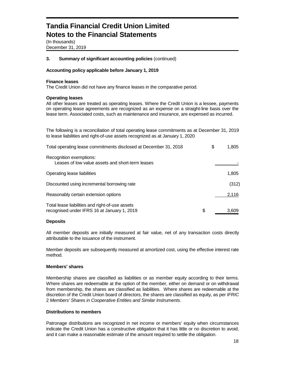(In thousands) December 31, 2019

### **3. Summary of significant accounting policies** (continued)

### **Accounting policy applicable before January 1, 2019**

#### **Finance leases**

The Credit Union did not have any finance leases in the comparative period.

#### **Operating leases**

All other leases are treated as operating leases. Where the Credit Union is a lessee, payments on operating lease agreements are recognized as an expense on a straight-line basis over the lease term. Associated costs, such as maintenance and insurance, are expensed as incurred.

The following is a reconciliation of total operating lease commitments as at December 31, 2019 to lease liabilities and right-of-use assets recognized as at January 1, 2020

| Total operating lease commitments disclosed at December 31, 2018                               | \$<br>1,805 |
|------------------------------------------------------------------------------------------------|-------------|
| Recognition exemptions:<br>Leases of low value assets and short-term leases                    |             |
| Operating lease liabilities                                                                    | 1,805       |
| Discounted using incremental borrowing rate                                                    | (312)       |
| Reasonably certain extension options                                                           | 2,116       |
| Total lease liabilities and right-of-use assets<br>recognised under IFRS 16 at January 1, 2019 | \$<br>3,609 |

#### **Deposits**

All member deposits are initially measured at fair value, net of any transaction costs directly attributable to the issuance of the instrument.

Member deposits are subsequently measured at amortized cost, using the effective interest rate method.

### **Members' shares**

Membership shares are classified as liabilities or as member equity according to their terms. Where shares are redeemable at the option of the member, either on demand or on withdrawal from membership, the shares are classified as liabilities. Where shares are redeemable at the discretion of the Credit Union board of directors, the shares are classified as equity, as per *IFRIC*  2 *Members' Shares in Cooperative Entities and Similar Instruments*.

### **Distributions to members**

Patronage distributions are recognized in net income or members' equity when circumstances indicate the Credit Union has a constructive obligation that it has little or no discretion to avoid, and it can make a reasonable estimate of the amount required to settle the obligation.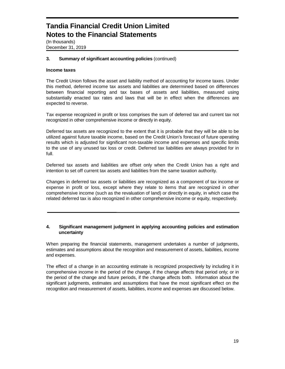(In thousands) December 31, 2019

### **3. Summary of significant accounting policies** (continued)

### **Income taxes**

The Credit Union follows the asset and liability method of accounting for income taxes. Under this method, deferred income tax assets and liabilities are determined based on differences between financial reporting and tax bases of assets and liabilities, measured using substantially enacted tax rates and laws that will be in effect when the differences are expected to reverse.

Tax expense recognized in profit or loss comprises the sum of deferred tax and current tax not recognized in other comprehensive income or directly in equity.

Deferred tax assets are recognized to the extent that it is probable that they will be able to be utilized against future taxable income, based on the Credit Union's forecast of future operating results which is adjusted for significant non-taxable income and expenses and specific limits to the use of any unused tax loss or credit. Deferred tax liabilities are always provided for in full.

Deferred tax assets and liabilities are offset only when the Credit Union has a right and intention to set off current tax assets and liabilities from the same taxation authority.

Changes in deferred tax assets or liabilities are recognized as a component of tax income or expense in profit or loss, except where they relate to items that are recognized in other comprehensive income (such as the revaluation of land) or directly in equity, in which case the related deferred tax is also recognized in other comprehensive income or equity, respectively.

### **4. Significant management judgment in applying accounting policies and estimation uncertainty**

When preparing the financial statements, management undertakes a number of judgments, estimates and assumptions about the recognition and measurement of assets, liabilities, income and expenses.

The effect of a change in an accounting estimate is recognized prospectively by including it in comprehensive income in the period of the change, if the change affects that period only; or in the period of the change and future periods, if the change affects both. Information about the significant judgments, estimates and assumptions that have the most significant effect on the recognition and measurement of assets, liabilities, income and expenses are discussed below.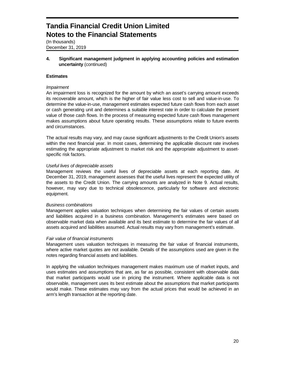(In thousands) December 31, 2019

**4. Significant management judgment in applying accounting policies and estimation uncertainty** (continued)

### **Estimates**

### *Impairment*

An impairment loss is recognized for the amount by which an asset's carrying amount exceeds its recoverable amount, which is the higher of fair value less cost to sell and value-in-use. To determine the value-in-use, management estimates expected future cash flows from each asset or cash generating unit and determines a suitable interest rate in order to calculate the present value of those cash flows. In the process of measuring expected future cash flows management makes assumptions about future operating results. These assumptions relate to future events and circumstances.

The actual results may vary, and may cause significant adjustments to the Credit Union's assets within the next financial year. In most cases, determining the applicable discount rate involves estimating the appropriate adjustment to market risk and the appropriate adjustment to assetspecific risk factors.

#### *Useful lives of depreciable assets*

Management reviews the useful lives of depreciable assets at each reporting date. At December 31, 2019, management assesses that the useful lives represent the expected utility of the assets to the Credit Union. The carrying amounts are analyzed in Note 9. Actual results, however, may vary due to technical obsolescence, particularly for software and electronic equipment.

### *Business combinations*

Management applies valuation techniques when determining the fair values of certain assets and liabilities acquired in a business combination. Management's estimates were based on observable market data when available and its best estimate to determine the fair values of all assets acquired and liabilities assumed. Actual results may vary from management's estimate.

### *Fair value of financial instruments*

Management uses valuation techniques in measuring the fair value of financial instruments, where active market quotes are not available. Details of the assumptions used are given in the notes regarding financial assets and liabilities.

In applying the valuation techniques management makes maximum use of market inputs, and uses estimates and assumptions that are, as far as possible, consistent with observable data that market participants would use in pricing the instrument. Where applicable data is not observable, management uses its best estimate about the assumptions that market participants would make. These estimates may vary from the actual prices that would be achieved in an arm's length transaction at the reporting date.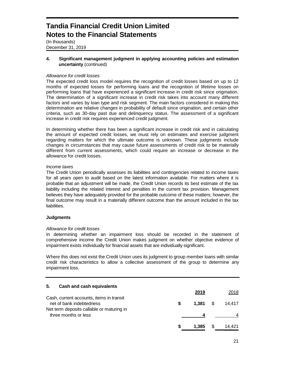(In thousands) December 31, 2019

### **4. Significant management judgment in applying accounting policies and estimation uncertainty** (continued)

### *Allowance for credit losses*

The expected credit loss model requires the recognition of credit losses based on up to 12 months of expected losses for performing loans and the recognition of lifetime losses on performing loans that have experienced a significant increase in credit risk since origination. The determination of a significant increase in credit risk takes into account many different factors and varies by loan type and risk segment. The main factors considered in making this determination are relative changes in probability of default since origination, and certain other criteria, such as 30-day past due and delinquency status. The assessment of a significant increase in credit risk requires experienced credit judgment.

In determining whether there has been a significant increase in credit risk and in calculating the amount of expected credit losses, we must rely on estimates and exercise judgment regarding matters for which the ultimate outcome is unknown. These judgments include changes in circumstances that may cause future assessments of credit risk to be materially different from current assessments, which could require an increase or decrease in the allowance for credit losses.

### *Income taxes*

The Credit Union periodically assesses its liabilities and contingencies related to income taxes for all years open to audit based on the latest information available. For matters where it is probable that an adjustment will be made, the Credit Union records its best estimate of the tax liability including the related interest and penalties in the current tax provision. Management believes they have adequately provided for the probable outcome of these matters; however, the final outcome may result in a materially different outcome than the amount included in the tax liabilities.

### **Judgments**

### *Allowance for credit losses*

In determining whether an impairment loss should be recorded in the statement of comprehensive income the Credit Union makes judgment on whether objective evidence of impairment exists individually for financial assets that are individually significant.

Where this does not exist the Credit Union uses its judgment to group member loans with similar credit risk characteristics to allow a collective assessment of the group to determine any impairment loss.

| 5.<br><b>Cash and cash equivalents</b>                                                                            |   |       |        |
|-------------------------------------------------------------------------------------------------------------------|---|-------|--------|
|                                                                                                                   |   | 2019  | 2018   |
| Cash, current accounts, items in transit<br>net of bank indebtedness<br>Net term deposits callable or maturing in | S | 1.381 | 14.417 |
| three months or less                                                                                              |   |       |        |
|                                                                                                                   |   | 1.385 | 14.421 |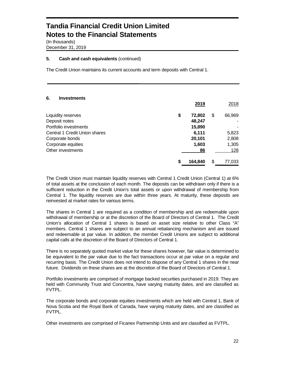(In thousands) December 31, 2019

### **5. Cash and cash equivalents** (continued)

The Credit Union maintains its current accounts and term deposits with Central 1.

### **6. Investments**

|                               |    | 2019    | 2018         |
|-------------------------------|----|---------|--------------|
| Liquidity reserves            | \$ | 72,802  | \$<br>66,969 |
| Deposit notes                 |    | 48,247  |              |
| Portfolio investments         |    | 15,890  |              |
| Central 1 Credit Union shares |    | 6,111   | 5,823        |
| Corporate bonds               |    | 20,101  | 2,808        |
| Corporate equities            |    | 1,603   | 1,305        |
| Other investments             |    | 86      | 128          |
|                               | S  | 164,840 | \$<br>77,033 |

The Credit Union must maintain liquidity reserves with Central 1 Credit Union (Central 1) at 6% of total assets at the conclusion of each month. The deposits can be withdrawn only if there is a sufficient reduction in the Credit Union's total assets or upon withdrawal of membership from Central 1. The liquidity reserves are due within three years. At maturity, these deposits are reinvested at market rates for various terms.

The shares in Central 1 are required as a condition of membership and are redeemable upon withdrawal of membership or at the discretion of the Board of Directors of Central 1. The Credit Union's allocation of Central 1 shares is based on asset size relative to other Class "A" members. Central 1 shares are subject to an annual rebalancing mechanism and are issued and redeemable at par value. In addition, the member Credit Unions are subject to additional capital calls at the discretion of the Board of Directors of Central 1.

There is no separately quoted market value for these shares however, fair value is determined to be equivalent to the par value due to the fact transactions occur at par value on a regular and recurring basis. The Credit Union does not intend to dispose of any Central 1 shares in the near future. Dividends on these shares are at the discretion of the Board of Directors of Central 1.

Portfolio investments are comprised of mortgage backed securities purchased in 2019. They are held with Community Trust and Concentra, have varying maturity dates, and are classified as FVTPL.

The corporate bonds and corporate equities investments which are held with Central 1, Bank of Nova Scotia and the Royal Bank of Canada, have varying maturity dates, and are classified as FVTPL.

Other investments are comprised of Ficanex Partnership Units and are classified as FVTPL.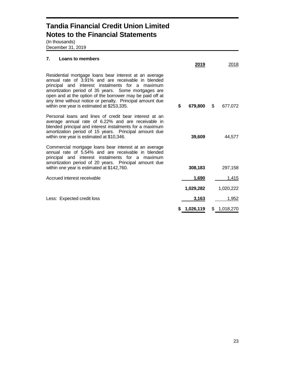(In thousands) December 31, 2019

| 7.<br>Loans to members                                                                                                                                                                                                                                                                                                                                                                         |               |               |
|------------------------------------------------------------------------------------------------------------------------------------------------------------------------------------------------------------------------------------------------------------------------------------------------------------------------------------------------------------------------------------------------|---------------|---------------|
|                                                                                                                                                                                                                                                                                                                                                                                                | 2019          | 2018          |
| Residential mortgage loans bear interest at an average<br>annual rate of 3.91% and are receivable in blended<br>principal and interest instalments for a maximum<br>amortization period of 35 years. Some mortgages are<br>open and at the option of the borrower may be paid off at<br>any time without notice or penalty. Principal amount due<br>within one year is estimated at \$253,335. | \$<br>679,800 | \$<br>677,072 |
| Personal loans and lines of credit bear interest at an<br>average annual rate of 6.22% and are receivable in<br>blended principal and interest instalments for a maximum<br>amortization period of 15 years. Principal amount due<br>within one year is estimated at \$10,346.                                                                                                                 | 39,609        | 44,577        |
| Commercial mortgage loans bear interest at an average<br>annual rate of 5.54% and are receivable in blended<br>principal and interest instalments for a maximum<br>amortization period of 20 years. Principal amount due<br>within one year is estimated at \$142,760.                                                                                                                         | 308,183       | 297,158       |
|                                                                                                                                                                                                                                                                                                                                                                                                |               |               |
| Accrued interest receivable                                                                                                                                                                                                                                                                                                                                                                    | 1,690         | 1,415         |
|                                                                                                                                                                                                                                                                                                                                                                                                | 1,029,282     | 1,020,222     |
| Less: Expected credit loss                                                                                                                                                                                                                                                                                                                                                                     | 3,163         | 1,952         |
|                                                                                                                                                                                                                                                                                                                                                                                                | 1,026,119     | \$1,018,270   |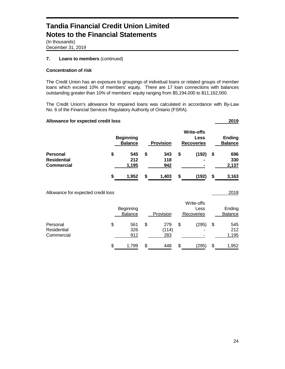(In thousands) December 31, 2019

### **7. Loans to members** (continued)

### **Concentration of risk**

The Credit Union has an exposure to groupings of individual loans or related groups of member loans which exceed 10% of members' equity. There are 17 loan connections with balances outstanding greater than 10% of members' equity ranging from \$5,194,000 to \$11,162,000.

The Credit Union's allowance for impaired loans was calculated in accordance with By-Law No. 6 of the Financial Services Regulatory Authority of Ontario (FSRA).

### **Allowance for expected credit loss 2019 Write-offs Beginning Less Ending Provision Recoveries Personal \$ 545 \$ 343 \$ (192) \$ 696 Residential 212 118 - 330 Commercial 1,195 942 - 2,137 \$ 1,952 \$ 1,403 \$ (192) \$ 3,163** Allowance for expected credit loss 2018 Write-offs Beginning Less Ending Balance Provision Recoveries Balance Personal \$ 561 \$ 279 \$ (295) \$ 545 Residential 326 (114) - 212 Commercial 912 283 - 1,195

\$ 1,799 \$ 448 \$ (295) \$ 1,952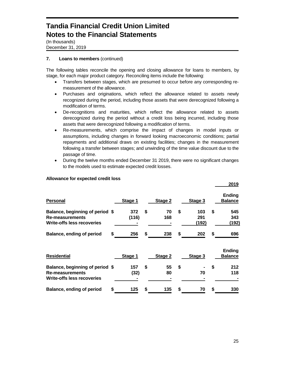(In thousands) December 31, 2019

### **7. Loans to members** (continued)

The following tables reconcile the opening and closing allowance for loans to members, by stage, for each major product category. Reconciling items include the following:

- Transfers between stages, which are presumed to occur before any corresponding remeasurement of the allowance.
- Purchases and originations, which reflect the allowance related to assets newly recognized during the period, including those assets that were derecognized following a modification of terms.
- De-recognitions and maturities, which reflect the allowance related to assets derecognized during the period without a credit loss being incurred, including those assets that were derecognized following a modification of terms.
- Re-measurements, which comprise the impact of changes in model inputs or assumptions, including changes in forward looking macroeconomic conditions; partial repayments and additional draws on existing facilities; changes in the measurement following a transfer between stages; and unwinding of the time value discount due to the passage of time.
- During the twelve months ended December 31 2019, there were no significant changes to the models used to estimate expected credit losses.

| Personal                                                                         |    | Stage 1      | Stage 2         |    | Stage 3             |    | <b>Ending</b><br><b>Balance</b> |
|----------------------------------------------------------------------------------|----|--------------|-----------------|----|---------------------|----|---------------------------------|
| Balance, beginning of period \$<br>Re-measurements<br>Write-offs less recoveries |    | 372<br>(116) | \$<br>70<br>168 | \$ | 103<br>291<br>(192) | \$ | 545<br>343<br>(192)             |
| Balance, ending of period                                                        | \$ | 256          | \$<br>238       |    | 202                 | \$ | 696                             |
| <b>Residential</b>                                                               |    | Stage 1      | Stage 2         |    | Stage 3             |    | <b>Ending</b><br><b>Balance</b> |
| Balance, beginning of period \$<br>Re-measurements<br>Write-offs less recoveries |    | 157<br>(32)  | \$<br>55<br>80  | \$ | 70                  | \$ | 212<br>118                      |
| Balance, ending of period                                                        | S  | 125          | \$<br>135       | S  | 70                  | S  | 330                             |

### **Allowance for expected credit loss**

**2019**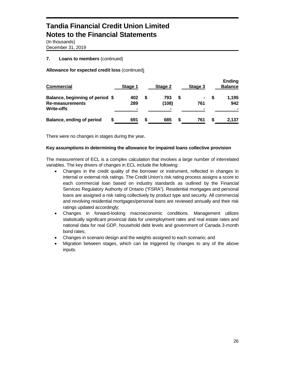(In thousands) December 31, 2019

### **7. Loans to members** (continued)

**Allowance for expected credit loss** (continued)

| <b>Commercial</b>                                                       |   | Stage 1                      |   | Stage 2                        |   | Stage 3       | <b>Ending</b><br><b>Balance</b> |
|-------------------------------------------------------------------------|---|------------------------------|---|--------------------------------|---|---------------|---------------------------------|
| Balance, beginning of period \$<br>Re-measurements<br><b>Write-offs</b> |   | 402<br>289<br>$\blacksquare$ |   | 793<br>(108)<br>$\blacksquare$ | S | ۰<br>761<br>- | 1,195<br>942                    |
| Balance, ending of period                                               | S | 691                          | S | 685                            | S | 761           | 2.137                           |

There were no changes in stages during the year**.** 

### **Key assumptions in determining the allowance for impaired loans collective provision**

The measurement of ECL is a complex calculation that involves a large number of interrelated variables. The key drivers of changes in ECL include the following:

- Changes in the credit quality of the borrower or instrument, reflected in changes in internal or external risk ratings. The Credit Union's risk rating process assigns a score to each commercial loan based on industry standards as outlined by the Financial Services Regulatory Authority of Ontario ("FSRA"). Residential mortgages and personal loans are assigned a risk rating collectively by product type and security. All commercial and revolving residential mortgages/personal loans are reviewed annually and their risk ratings updated accordingly;
- Changes in forward-looking macroeconomic conditions. Management utilizes statistically significant provincial data for unemployment rates and real estate rates and national data for real GDP, household debt levels and government of Canada 3-month bond rates;
- Changes in scenario design and the weights assigned to each scenario; and
- Migration between stages, which can be triggered by changes to any of the above inputs.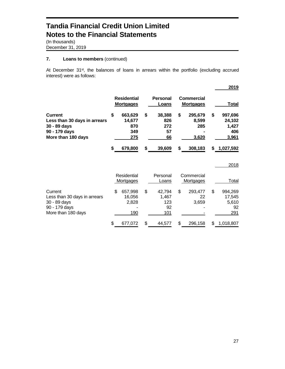(In thousands) December 31, 2019

### **7. Loans to members** (continued)

At December 31<sup>st</sup>, the balances of loans in arrears within the portfolio (excluding accrued interest) were as follows:

|                                                                                                                               |                                        |                                        |                                        |                                |                                  | 2019                                             |
|-------------------------------------------------------------------------------------------------------------------------------|----------------------------------------|----------------------------------------|----------------------------------------|--------------------------------|----------------------------------|--------------------------------------------------|
|                                                                                                                               | <b>Residential</b><br><b>Mortgages</b> |                                        | <b>Personal</b><br>Loans               | Commercial<br><b>Mortgages</b> |                                  | Total                                            |
| <b>Current</b><br>Less than 30 days in arrears<br>30 - 89 days<br>90 - 179 days<br>More than 180 days                         | \$                                     | 663,629<br>14,677<br>870<br>349<br>275 | \$<br>38,388<br>826<br>272<br>57<br>66 | \$                             | 295,679<br>8,599<br>285<br>3,620 | \$<br>997,696<br>24,102<br>1,427<br>406<br>3,961 |
|                                                                                                                               | \$                                     | 679,800                                | \$<br>39,609                           | \$                             | 308,183                          | \$1,027,592                                      |
|                                                                                                                               |                                        |                                        |                                        |                                |                                  | 2018                                             |
|                                                                                                                               |                                        | Residential<br>Mortgages               | Personal<br>Loans                      |                                | Commercial<br>Mortgages          | Total                                            |
| Current<br>$\mathbf{1}$ and $\mathbf{1}$ and $\mathbf{2}$ and $\mathbf{3}$ and $\mathbf{4}$ and $\mathbf{5}$ and $\mathbf{6}$ | \$                                     | 657,998<br>10.052                      | \$<br>42,794<br>$\overline{1}$         | \$                             | 293,477<br>$\sim$                | \$<br>994,269<br>17.51                           |

| Current<br>Less than 30 days in arrears<br>30 - 89 days<br>90 - 179 days<br>More than 180 days | S | 657,998<br>16,056<br>2,828<br>190 | 42,794<br>1,467<br>123<br>92<br>101 | \$<br>293.477<br>22<br>3.659<br>۰ | 994,269<br>17,545<br>5,610<br>92<br>291 |
|------------------------------------------------------------------------------------------------|---|-----------------------------------|-------------------------------------|-----------------------------------|-----------------------------------------|
|                                                                                                |   | 677.072                           | 44.577                              | 296.158                           | 1.018.807                               |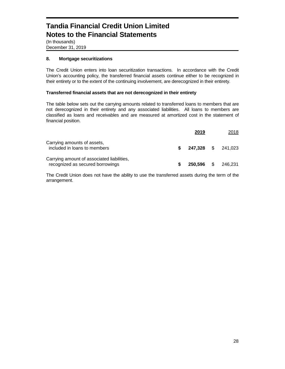(In thousands) December 31, 2019

### **8. Mortgage securitizations**

The Credit Union enters into loan securitization transactions. In accordance with the Credit Union's accounting policy, the transferred financial assets continue either to be recognized in their entirety or to the extent of the continuing involvement, are derecognized in their entirety.

### **Transferred financial assets that are not derecognized in their entirety**

The table below sets out the carrying amounts related to transferred loans to members that are not derecognized in their entirety and any associated liabilities. All loans to members are classified as loans and receivables and are measured at amortized cost in the statement of financial position.

|                                                                                |    | 2019              | 2018                      |
|--------------------------------------------------------------------------------|----|-------------------|---------------------------|
| Carrying amounts of assets,<br>included in loans to members                    | S. |                   | <b>247.328</b> \$ 241.023 |
| Carrying amount of associated liabilities,<br>recognized as secured borrowings |    | <b>250.596</b> \$ | 246.231                   |

The Credit Union does not have the ability to use the transferred assets during the term of the arrangement.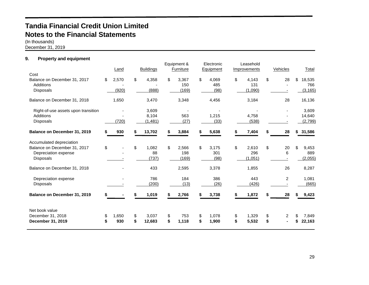(In thousands) December 31, 2019

### **9. Property and equipment**

|                                                                                               |          | Land           |          | <b>Buildings</b>           |          | Equipment &<br><b>Furniture</b> |          | Electronic<br>Equipment |          | Leasehold<br>Improvements |          | Vehicles       |     | <b>Total</b>               |
|-----------------------------------------------------------------------------------------------|----------|----------------|----------|----------------------------|----------|---------------------------------|----------|-------------------------|----------|---------------------------|----------|----------------|-----|----------------------------|
| Cost<br>Balance on December 31, 2017<br>Additions<br><b>Disposals</b>                         | \$       | 2,570<br>(920) | \$       | 4,358<br>(888)             | \$       | 3,367<br>150<br>(169)           | \$       | 4,069<br>485<br>(98)    | \$       | 4,143<br>131<br>(1,090)   | \$       | 28             | \$  | 18,535<br>766<br>(3, 165)  |
| Balance on December 31, 2018                                                                  |          | 1,650          |          | 3,470                      |          | 3,348                           |          | 4,456                   |          | 3,184                     |          | 28             |     | 16,136                     |
| Right-of-use assets upon transition<br>Additions<br><b>Disposals</b>                          |          | (720)          |          | 3,609<br>8,104<br>(1, 481) |          | 563<br>(27)                     |          | 1,215<br>(33)           |          | 4,758<br>(538)            |          |                |     | 3,609<br>14,640<br>(2,799) |
| Balance on December 31, 2019                                                                  |          | 930            |          | 13,702                     |          | 3,884                           |          | 5,638                   |          | 7,404                     | \$       | 28             |     | 31,586                     |
| Accumulated depreciation<br>Balance on December 31, 2017<br>Depreciation expense<br>Disposals | \$       |                | \$       | 1,082<br>88<br>(737)       | \$       | 2,566<br>198<br>(169)           | \$       | 3,175<br>301<br>(98)    | \$       | 2,610<br>296<br>(1,051)   | \$       | 20<br>6        | \$. | 9,453<br>889<br>(2,055)    |
| Balance on December 31, 2018                                                                  |          |                |          | 433                        |          | 2,595                           |          | 3,378                   |          | 1,855                     |          | 26             |     | 8,287                      |
| Depreciation expense<br><b>Disposals</b>                                                      |          |                |          | 786<br>(200)               |          | 184<br>(13)                     |          | 386<br>(26)             |          | 443<br>(426)              |          | $\overline{2}$ |     | 1,081<br>(665)             |
| Balance on December 31, 2019                                                                  |          |                |          | 1,019                      |          | 2,766                           |          | 3,738                   |          | 1,872                     | S        | 28             |     | 9,423                      |
| Net book value<br>December 31, 2018<br>December 31, 2019                                      | \$<br>\$ | 1,650<br>930   | \$<br>\$ | 3,037<br>12,683            | \$<br>\$ | 753<br>1,118                    | \$<br>\$ | 1,078<br>1,900          | \$<br>\$ | 1,329<br>5,532            | \$<br>\$ | $\overline{2}$ |     | 7,849<br>22,163            |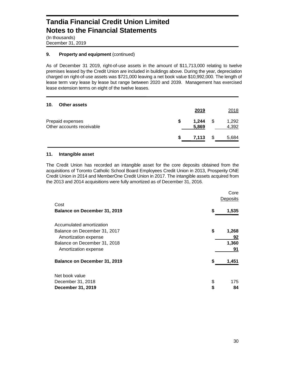(In thousands) December 31, 2019

### **9. Property and equipment** (continued)

As of December 31 2019, right-of-use assets in the amount of \$11,713,000 relating to twelve premises leased by the Credit Union are included in buildings above. During the year, depreciation charged on right-of-use assets was \$721,000 leaving a net book value \$10,992,000. The length of lease term vary lease by lease but range between 2020 and 2039. Management has exercised lease extension terms on eight of the twelve leases.

### **10. Other assets**

|                                               |   | 2019           |      | 2018           |
|-----------------------------------------------|---|----------------|------|----------------|
| Prepaid expenses<br>Other accounts receivable | S | 1.244<br>5,869 | - \$ | 1,292<br>4,392 |
|                                               |   | $7,113$ \$     |      | 5,684          |

### **11. Intangible asset**

The Credit Union has recorded an intangible asset for the core deposits obtained from the acquisitions of Toronto Catholic School Board Employees Credit Union in 2013, Prosperity ONE Credit Union in 2014 and MemberOne Credit Union in 2017. The intangible assets acquired from the 2013 and 2014 acquisitions were fully amortized as of December 31, 2016.

|                              | Core<br><b>Deposits</b> |
|------------------------------|-------------------------|
| Cost                         |                         |
| Balance on December 31, 2019 | \$<br>1,535             |
| Accumulated amortization     |                         |
| Balance on December 31, 2017 | \$<br>1,268             |
| Amortization expense         | 92                      |
| Balance on December 31, 2018 | 1,360                   |
| Amortization expense         | 91                      |
| Balance on December 31, 2019 | \$<br>1,451             |
| Net book value               |                         |
| December 31, 2018            | \$<br>175               |
| December 31, 2019            | \$<br>84                |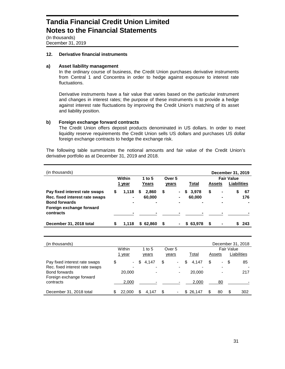(In thousands) December 31, 2019

#### **12. Derivative financial instruments**

#### **a) Asset liability management**

In the ordinary course of business, the Credit Union purchases derivative instruments from Central 1 and Concentra in order to hedge against exposure to interest rate fluctuations.

Derivative instruments have a fair value that varies based on the particular instrument and changes in interest rates; the purpose of these instruments is to provide a hedge against interest rate fluctuations by improving the Credit Union's matching of its asset and liability position.

#### **b) Foreign exchange forward contracts**

The Credit Union offers deposit products denominated in US dollars. In order to meet liquidity reserve requirements the Credit Union sells US dollars and purchases US dollar foreign exchange contracts to hedge the exchange risk.

The following table summarizes the notional amounts and fair value of the Credit Union's derivative portfolio as at December 31, 2019 and 2018.

| (in thousands)                 |   |                  |   |                   |                 |                |                |    |                                  | December 31, 2019 |      |
|--------------------------------|---|------------------|---|-------------------|-----------------|----------------|----------------|----|----------------------------------|-------------------|------|
|                                |   | Within<br>1 year |   | 1 to $5$<br>Years | Over 5<br>years |                | <b>Assets</b>  |    | <b>Fair Value</b><br>Liabilities |                   |      |
|                                |   |                  |   |                   |                 |                | Total          |    |                                  |                   |      |
| Pay fixed interest rate swaps  | S | 1,118            | S | 2.860             | S               | $\sim$         | \$3,978        | \$ | ٠                                | S                 | 67   |
| Rec. fixed interest rate swaps |   | ۰                |   | 60,000            |                 | ۰              | 60,000         |    | -                                |                   | 176  |
| <b>Bond forwards</b>           |   |                  |   | $\blacksquare$    |                 |                | $\blacksquare$ |    | ۰                                |                   |      |
| Foreign exchange forward       |   |                  |   |                   |                 |                |                |    |                                  |                   |      |
| contracts                      |   |                  |   | ۰                 |                 |                |                |    |                                  |                   |      |
| December 31, 2018 total        | S | 1.118            |   | \$62.860          | S               | $\blacksquare$ | \$63,978       | \$ | $\blacksquare$                   | S.                | -243 |

| (in thousands)                                                  |                                      |                  |                                |                  |                                     | December 31, 2018 |
|-----------------------------------------------------------------|--------------------------------------|------------------|--------------------------------|------------------|-------------------------------------|-------------------|
|                                                                 | Within                               | 1 to $5$         | Over 5                         |                  | <b>Fair Value</b>                   |                   |
|                                                                 | <u>1 year</u>                        | years            | years                          | Total            | Assets                              | Liabilities       |
| Pay fixed interest rate swaps<br>Rec. fixed interest rate swaps | \$<br>۰.<br>$\overline{\phantom{0}}$ | \$<br>4,147<br>۰ | \$<br>$\overline{\phantom{0}}$ | \$<br>4,147<br>- | \$<br>۰<br>$\overline{\phantom{0}}$ | \$<br>85          |
| Bond forwards<br>Foreign exchange forward                       | 20,000                               | ۰                |                                | 20,000           | $\overline{\phantom{a}}$            | 217               |
| contracts                                                       | 2,000                                |                  |                                | 2.000            | 80                                  |                   |
| December 31, 2018 total                                         | \$<br>22,000                         | 4.147            | S<br>٠                         | \$26,147         | \$<br>80                            | \$.<br>302        |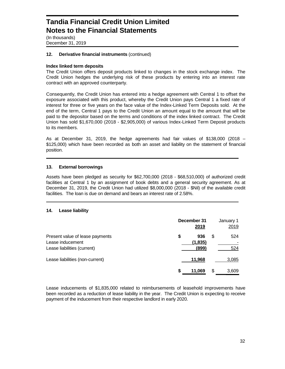(In thousands) December 31, 2019

### **12. Derivative financial instruments** (continued)

#### **Index linked term deposits**

The Credit Union offers deposit products linked to changes in the stock exchange index. The Credit Union hedges the underlying risk of these products by entering into an interest rate contract with an approved counterparty.

Consequently, the Credit Union has entered into a hedge agreement with Central 1 to offset the exposure associated with this product, whereby the Credit Union pays Central 1 a fixed rate of interest for three or five years on the face value of the Index-Linked Term Deposits sold. At the end of the term, Central 1 pays to the Credit Union an amount equal to the amount that will be paid to the depositor based on the terms and conditions of the index linked contract. The Credit Union has sold \$1,670,000 (2018 - \$2,905,000) of various Index-Linked Term Deposit products to its members.

As at December 31, 2019, the hedge agreements had fair values of \$138,000 (2018 – \$125,000) which have been recorded as both an asset and liability on the statement of financial position.

### **13. External borrowings**

Assets have been pledged as security for \$62,700,000 (2018 - \$68,510,000) of authorized credit facilities at Central 1 by an assignment of book debts and a general security agreement. As at December 31, 2019, the Credit Union had utilized \$8,000,000 (2018 - \$Nil) of the available credit facilities. The loan is due on demand and bears an interest rate of 2.58%.

### **14. Lease liability**

|                                                                                    | December 31<br>2019          | January 1<br>2019 |
|------------------------------------------------------------------------------------|------------------------------|-------------------|
| Present value of lease payments<br>Lease inducement<br>Lease liabilities (current) | 936<br>S<br>(1,835)<br>(899) | \$<br>524<br>524  |
| Lease liabilities (non-current)                                                    | 11,968                       | 3,085             |
|                                                                                    | 11,069                       | \$<br>3,609       |

Lease inducements of \$1,835,000 related to reimbursements of leasehold improvements have been recorded as a reduction of lease liability in the year. The Credit Union is expecting to receive payment of the inducement from their respective landlord in early 2020.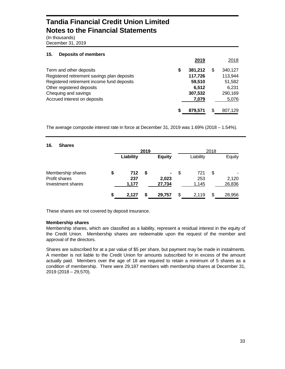(In thousands) December 31, 2019

### **15. Deposits of members**

|                                             |   | 2019    |    | 2018    |
|---------------------------------------------|---|---------|----|---------|
| Term and other deposits                     | S | 381,212 | S  | 340,127 |
| Registered retirement savings plan deposits |   | 117,726 |    | 113,944 |
| Registered retirement income fund deposits  |   | 59,510  |    | 51,582  |
| Other registered deposits                   |   | 6,512   |    | 6.231   |
| Chequing and savings                        |   | 307,532 |    | 290,169 |
| Accrued interest on deposits                |   | 7,079   |    | 5,076   |
|                                             |   | 879.571 | \$ | 807,129 |

The average composite interest rate in force at December 31, 2019 was 1.69% (2018 – 1.54%).

### **16. Shares 2019** 2018 **Liability Equity** Liability Equity Membership shares **\$ 712 \$ -** \$ 721 \$ - Profit shares **237 2,023** 253 2,120 Investment shares **1,177 27,734** 1,145 26,836 **\$ 2,127 \$ 29,757** \$ 2,119 \$ 28,956

These shares are not covered by deposit insurance.

### **Membership shares**

Membership shares, which are classified as a liability, represent a residual interest in the equity of the Credit Union. Membership shares are redeemable upon the request of the member and approval of the directors.

Shares are subscribed for at a par value of \$5 per share, but payment may be made in instalments. A member is not liable to the Credit Union for amounts subscribed for in excess of the amount actually paid. Members over the age of 18 are required to retain a minimum of 5 shares as a condition of membership. There were 29,187 members with membership shares at December 31, 2019 (2018 – 29,570).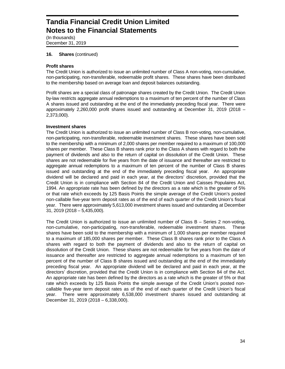(In thousands) December 31, 2019

### **16. Shares** (continued)

### **Profit shares**

The Credit Union is authorized to issue an unlimited number of Class A non-voting, non-cumulative, non-participating, non-transferable, redeemable profit shares. These shares have been distributed to the membership based on average loan and deposit balances outstanding.

Profit shares are a special class of patronage shares created by the Credit Union. The Credit Union by-law restricts aggregate annual redemptions to a maximum of ten percent of the number of Class A shares issued and outstanding at the end of the immediately preceding fiscal year. There were approximately 2,260,000 profit shares issued and outstanding at December 31, 2019 (2018 – 2,373,000).

#### **Investment shares**

The Credit Union is authorized to issue an unlimited number of Class B non-voting, non-cumulative, non-participating, non-transferable, redeemable investment shares. These shares have been sold to the membership with a minimum of 2,000 shares per member required to a maximum of 100,000 shares per member. These Class B shares rank prior to the Class A shares with regard to both the payment of dividends and also to the return of capital on dissolution of the Credit Union. These shares are not redeemable for five years from the date of issuance and thereafter are restricted to aggregate annual redemptions to a maximum of ten percent of the number of Class B shares issued and outstanding at the end of the immediately preceding fiscal year. An appropriate dividend will be declared and paid in each year, at the directors' discretion, provided that the Credit Union is in compliance with Section 84 of the Credit Union and Caisses Populaires Act, 1994. An appropriate rate has been defined by the directors as a rate which is the greater of 5% or that rate which exceeds by 125 Basis Points the simple average of the Credit Union's posted non-callable five-year term deposit rates as of the end of each quarter of the Credit Union's fiscal year. There were approximately 5,613,000 investment shares issued and outstanding at December 31, 2019 (2018 – 5,435,000).

The Credit Union is authorized to issue an unlimited number of Class B – Series 2 non-voting, non-cumulative, non-participating, non-transferable, redeemable investment shares. These shares have been sold to the membership with a minimum of 1,000 shares per member required to a maximum of 185,000 shares per member. These Class B shares rank prior to the Class A shares with regard to both the payment of dividends and also to the return of capital on dissolution of the Credit Union. These shares are not redeemable for five years from the date of issuance and thereafter are restricted to aggregate annual redemptions to a maximum of ten percent of the number of Class B shares issued and outstanding at the end of the immediately preceding fiscal year. An appropriate dividend will be declared and paid in each year, at the directors' discretion, provided that the Credit Union is in compliance with Section 84 of the Act. An appropriate rate has been defined by the directors as a rate which is the greater of 5% or that rate which exceeds by 125 Basis Points the simple average of the Credit Union's posted noncallable five-year term deposit rates as of the end of each quarter of the Credit Union's fiscal year. There were approximately 6,538,000 investment shares issued and outstanding at December 31, 2019 (2018 – 6,338,000).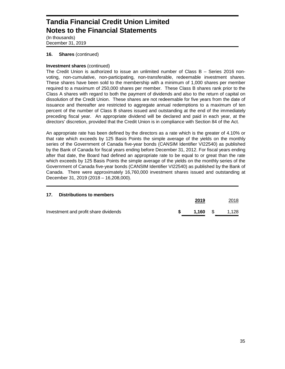(In thousands) December 31, 2019

### **16. Shares** (continued)

### **Investment shares** (continued)

The Credit Union is authorized to issue an unlimited number of Class B – Series 2016 nonvoting, non-cumulative, non-participating, non-transferable, redeemable investment shares. These shares have been sold to the membership with a minimum of 1,000 shares per member required to a maximum of 250,000 shares per member. These Class B shares rank prior to the Class A shares with regard to both the payment of dividends and also to the return of capital on dissolution of the Credit Union. These shares are not redeemable for five years from the date of issuance and thereafter are restricted to aggregate annual redemptions to a maximum of ten percent of the number of Class B shares issued and outstanding at the end of the immediately preceding fiscal year. An appropriate dividend will be declared and paid in each year, at the directors' discretion, provided that the Credit Union is in compliance with Section 84 of the Act.

An appropriate rate has been defined by the directors as a rate which is the greater of 4.10% or that rate which exceeds by 125 Basis Points the simple average of the yields on the monthly series of the Government of Canada five-year bonds (CANSIM Identifier VI22540) as published by the Bank of Canada for fiscal years ending before December 31, 2012. For fiscal years ending after that date, the Board had defined an appropriate rate to be equal to or great than the rate which exceeds by 125 Basis Points the simple average of the yields on the monthly series of the Government of Canada five-year bonds (CANSIM Identifier VI22540) as published by the Bank of Canada. There were approximately 16,760,000 investment shares issued and outstanding at December 31, 2019 (2018 – 16,208,000).

| 17.<br>Distributions to members       | 2019    | <u>2018</u> |
|---------------------------------------|---------|-------------|
| Investment and profit share dividends | 1.160 S | 1.128       |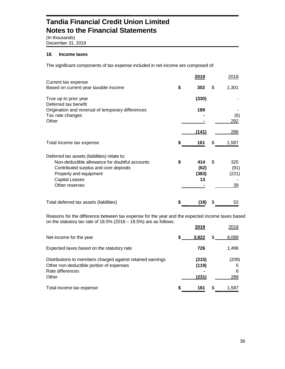(In thousands) December 31, 2019

### **18. Income taxes**

The significant components of tax expense included in net income are composed of:

|                                                                                                                                                              | 2019                             | 2018                             |
|--------------------------------------------------------------------------------------------------------------------------------------------------------------|----------------------------------|----------------------------------|
| Current tax expense<br>Based on current year taxable income                                                                                                  | \$<br>302                        | \$<br>1,301                      |
| True up to prior year<br>Deferred tax benefit                                                                                                                | (330)                            |                                  |
| Origination and reversal of temporary differences<br>Tax rate changes<br>Other                                                                               | 189                              | (6)<br>292                       |
|                                                                                                                                                              | (141)                            | 286                              |
| Total income tax expense                                                                                                                                     | \$<br>161                        | \$<br>1,587                      |
| Deferred tax assets (liabilities) relate to:                                                                                                                 |                                  |                                  |
| Non-deductible allowance for doubtful accounts<br>Contributed surplus and core deposits<br>Property and equipment<br><b>Capital Leases</b><br>Other reserves | \$<br>414<br>(62)<br>(383)<br>13 | \$<br>325<br>(91)<br>(221)<br>39 |
| Total deferred tax assets (liabilities)                                                                                                                      | \$<br>(18)                       | \$<br>52                         |

Reasons for the difference between tax expense for the year and the expected income taxes based on the statutory tax rate of 18.5% (2018 – 18.5%) are as follows: **2019** 2018

|                                                                                                                                     | 2019                    |   | ∠∪⊺ຽ                   |
|-------------------------------------------------------------------------------------------------------------------------------------|-------------------------|---|------------------------|
| Net income for the year                                                                                                             | 3,922                   | S | 8,089                  |
| Expected taxes based on the statutory rate                                                                                          | 726                     |   | 1,496                  |
| Distributions to members charged against retained earnings<br>Other non-deductible portion of expenses<br>Rate differences<br>Other | (215)<br>(119)<br>(231) |   | (209)<br>5<br>6<br>289 |
| Total income tax expense                                                                                                            | 161                     | S | 1,587                  |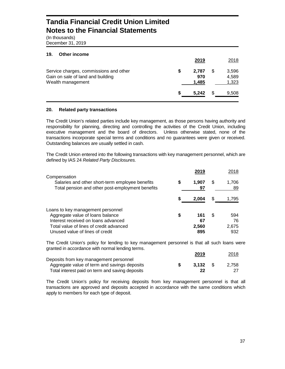(In thousands) December 31, 2019

### **19. Other income**

| 19.<br><b>OUTEL THEOTHE</b>                                                                      |   | 2019                  |    | 2018                    |
|--------------------------------------------------------------------------------------------------|---|-----------------------|----|-------------------------|
| Service charges, commissions and other<br>Gain on sale of land and building<br>Wealth management |   | 2.787<br>970<br>1.485 |    | 3,596<br>4,589<br>1,323 |
|                                                                                                  | S | 5.242                 | -S | 9,508                   |

#### **20. Related party transactions**

The Credit Union's related parties include key management, as those persons having authority and responsibility for planning, directing and controlling the activities of the Credit Union, including executive management and the board of directors. Unless otherwise stated, none of the transactions incorporate special terms and conditions and no guarantees were given or received. Outstanding balances are usually settled in cash.

The Credit Union entered into the following transactions with key management personnel, which are defined by IAS 24 *Related Party Disclosures.*

|                                                                                                                     | 2019              |     | 2018        |
|---------------------------------------------------------------------------------------------------------------------|-------------------|-----|-------------|
| Compensation<br>Salaries and other short-term employee benefits<br>Total pension and other post-employment benefits | \$<br>1.907<br>97 | \$  | 1,706<br>89 |
|                                                                                                                     | 2,004             | \$. | 1,795       |
| Loans to key management personnel                                                                                   |                   |     |             |
| Aggregate value of loans balance                                                                                    | 161               | S   | 594         |
| Interest received on loans advanced                                                                                 | 67                |     | 76          |
| Total value of lines of credit advanced                                                                             | 2,560             |     | 2,675       |
| Unused value of lines of credit                                                                                     | 895               |     | 932         |

The Credit Union's policy for lending to key management personnel is that all such loans were granted in accordance with normal lending terms.

|                                                 | 2019  |      | 2018  |
|-------------------------------------------------|-------|------|-------|
| Deposits from key management personnel          |       |      |       |
| Aggregate value of term and savings deposits    | 3.132 | - \$ | 2.758 |
| Total interest paid on term and saving deposits | 22    |      |       |

The Credit Union's policy for receiving deposits from key management personnel is that all transactions are approved and deposits accepted in accordance with the same conditions which apply to members for each type of deposit.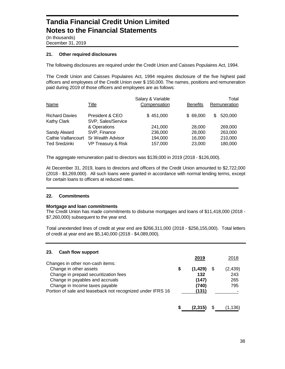(In thousands) December 31, 2019

### **21. Other required disclosures**

The following disclosures are required under the Credit Union and Caisses Populaires Act, 1994.

The Credit Union and Caisses Populaires Act, 1994 requires disclosure of the five highest paid officers and employees of the Credit Union over \$ 150,000. The names, positions and remuneration paid during 2019 of those officers and employees are as follows:

| Name                                        | Title                                 | Salary & Variable<br>Compensation | <b>Benefits</b> | Total<br>Remuneration |
|---------------------------------------------|---------------------------------------|-----------------------------------|-----------------|-----------------------|
| <b>Richard Davies</b><br><b>Kathy Clark</b> | President & CEO<br>SVP, Sales/Service | \$451,000                         | \$69,000        | 520,000<br>S.         |
|                                             | & Operations                          | 241,000                           | 28,000          | 269,000               |
| Sandy Alward                                | SVP, Finance                          | 236,000                           | 28,000          | 263,000               |
| <b>Cathie Vaillancourt</b>                  | Sr Wealth Advisor                     | 194,000                           | 16.000          | 210,000               |
| Ted Sredzinki                               | VP Treasury & Risk                    | 157,000                           | 23,000          | 180,000               |

The aggregate remuneration paid to directors was \$139,000 in 2019 (2018 - \$126,000).

At December 31, 2019, loans to directors and officers of the Credit Union amounted to \$2,722,000 (2018 - \$3,269,000). All such loans were granted in accordance with normal lending terms, except for certain loans to officers at reduced rates.

### **22. Commitments**

#### **Mortgage and loan commitments**

The Credit Union has made commitments to disburse mortgages and loans of \$11,418,000 (2018 - \$7,260,000) subsequent to the year end.

Total unextended lines of credit at year end are \$266,311,000 (2018 - \$256,155,000). Total letters of credit at year end are \$5,140,000 (2018 - \$4,089,000).

| 23.<br>Cash flow support                                   |   |          |                |
|------------------------------------------------------------|---|----------|----------------|
|                                                            |   | 2019     | 2018           |
| Changes in other non-cash items:                           |   |          |                |
| Change in other assets                                     | S | (1, 429) | \$<br>(2, 439) |
| Change in prepaid securitization fees                      |   | 132      | 243            |
| Change in payables and accruals                            |   | (147)    | 265            |
| Change in Income taxes payable                             |   | (740)    | 795            |
| Portion of sale and leaseback not recognized under IFRS 16 |   | (131)    |                |
|                                                            |   |          |                |
|                                                            |   | (2,315)  | (1,136)        |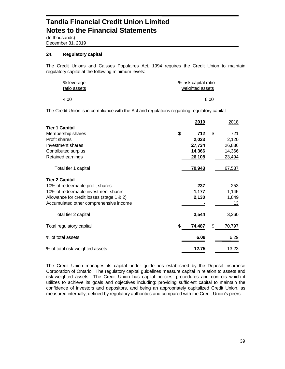(In thousands) December 31, 2019

#### **24. Regulatory capital**

The Credit Unions and Caisses Populaires Act, 1994 requires the Credit Union to maintain regulatory capital at the following minimum levels:

| % leverage   | % risk capital ratio |
|--------------|----------------------|
| ratio assets | weighted assets      |
| 4.00         |                      |
|              | 8.00                 |

The Credit Union is in compliance with the Act and regulations regarding regulatory capital.

|                                           |    | 2019   | 2018         |
|-------------------------------------------|----|--------|--------------|
| <b>Tier 1 Capital</b>                     |    |        |              |
| Membership shares                         | \$ | 712    | \$<br>721    |
| <b>Profit shares</b>                      |    | 2,023  | 2,120        |
| Investment shares                         |    | 27,734 | 26,836       |
| Contributed surplus                       |    | 14,366 | 14,366       |
| Retained earnings                         |    | 26,108 | 23,494       |
| Total tier 1 capital                      |    | 70,943 | 67,537       |
| <b>Tier 2 Capital</b>                     |    |        |              |
| 10% of redeemable profit shares           |    | 237    | 253          |
| 10% of redeemable investment shares       |    | 1,177  | 1,145        |
| Allowance for credit losses (stage 1 & 2) |    | 2,130  | 1,849        |
| Accumulated other comprehensive income    |    |        | 13           |
| Total tier 2 capital                      |    | 3,544  | 3,260        |
| Total regulatory capital                  | S  | 74,487 | \$<br>70,797 |
| % of total assets                         |    | 6.09   | 6.29         |
| % of total risk-weighted assets           |    | 12.75  | 13.23        |

The Credit Union manages its capital under guidelines established by the Deposit Insurance Corporation of Ontario. The regulatory capital guidelines measure capital in relation to assets and risk-weighted assets. The Credit Union has capital policies, procedures and controls which it utilizes to achieve its goals and objectives including: providing sufficient capital to maintain the confidence of investors and depositors, and being an appropriately capitalized Credit Union, as measured internally, defined by regulatory authorities and compared with the Credit Union's peers.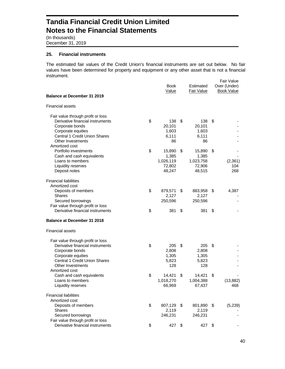(In thousands) December 31, 2019

### **25. Financial instruments**

The estimated fair values of the Credit Union's financial instruments are set out below. No fair values have been determined for property and equipment or any other asset that is not a financial instrument.

| <b>Balance at December 31 2019</b>                                                                                                                                                            | Book<br>Value                                          | Estimated<br><b>Fair Value</b>                         |      | <b>Fair Value</b><br>Over (Under)<br><b>Book Value</b> |
|-----------------------------------------------------------------------------------------------------------------------------------------------------------------------------------------------|--------------------------------------------------------|--------------------------------------------------------|------|--------------------------------------------------------|
| <b>Financial assets</b>                                                                                                                                                                       |                                                        |                                                        |      |                                                        |
| Fair value through profit or loss<br>Derivative financial instruments<br>Corporate bonds<br>Corporate equities<br>Central 1 Credit Union Shares<br>Other Investments<br>Amortized cost        | \$<br>138<br>20,101<br>1,603<br>6,111<br>86            | \$<br>138<br>20,101<br>1,603<br>6,111<br>86            | \$   |                                                        |
| Portfolio investments<br>Cash and cash equivalents<br>Loans to members<br>Liquidity reserves<br>Deposit notes                                                                                 | \$<br>15,890<br>1,385<br>1,026,119<br>72,802<br>48,247 | \$<br>15,890<br>1,385<br>1,023,758<br>72,906<br>48,515 | \$   | (2, 361)<br>104<br>268                                 |
| <b>Financial liabilities</b><br>Amortized cost<br>Deposits of members<br><b>Shares</b><br>Secured borrowings<br>Fair value through profit or loss                                             | \$<br>879,571<br>2,127<br>250,596                      | \$<br>883,958<br>2,127<br>250,596                      | - \$ | 4,387                                                  |
| Derivative financial instruments                                                                                                                                                              | \$<br>381                                              | \$<br>381                                              | \$   |                                                        |
| <b>Balance at December 31 2018</b>                                                                                                                                                            |                                                        |                                                        |      |                                                        |
| <b>Financial assets</b>                                                                                                                                                                       |                                                        |                                                        |      |                                                        |
| Fair value through profit or loss<br>Derivative financial instruments<br>Corporate bonds<br>Corporate equities<br><b>Central 1 Credit Union Shares</b><br>Other Investments<br>Amortized cost | \$<br>205<br>2,808<br>1,305<br>5,823<br>128            | \$<br>205<br>2,808<br>1,305<br>5,823<br>128            | \$   |                                                        |
| Cash and cash equivalents<br>Loans to members<br>Liquidity reserves                                                                                                                           | \$<br>14,421<br>1,018,270<br>66,969                    | \$<br>14,421<br>1,004,388<br>67,437                    | \$   | (13, 882)<br>468                                       |
| <b>Financial liabilities</b>                                                                                                                                                                  |                                                        |                                                        |      |                                                        |
| Amortized cost<br>Deposits of members<br><b>Shares</b><br>Secured borrowings<br>Fair value through profit or loss                                                                             | \$<br>807,129<br>2,119<br>246,231                      | \$<br>801,890<br>2,119<br>246,231                      | \$   | (5,239)                                                |
| Derivative financial instruments                                                                                                                                                              | \$<br>427                                              | \$<br>427                                              | -\$  |                                                        |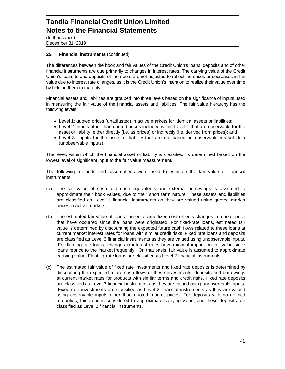(In thousands) December 31, 2019

### **25. Financial instruments** (continued)

The differences between the book and fair values of the Credit Union's loans, deposits and of other financial instruments are due primarily to changes in interest rates. The carrying value of the Credit Union's loans to and deposits of members are not adjusted to reflect increases or decreases in fair value due to interest rate changes, as it is the Credit Union's intention to realize their value over time by holding them to maturity.

Financial assets and liabilities are grouped into three levels based on the significance of inputs used in measuring the fair value of the financial assets and liabilities. The fair value hierarchy has the following levels:

- Level 1: quoted prices (unadjusted) in active markets for identical assets or liabilities;
- Level 2: inputs other than quoted prices included within Level 1 that are observable for the asset or liability, either directly (i.e. as prices) or indirectly (i.e. derived from prices); and
- Level 3: inputs for the asset or liability that are not based on observable market data (unobservable inputs).

The level, within which the financial asset or liability is classified, is determined based on the lowest level of significant input to the fair value measurement.

The following methods and assumptions were used to estimate the fair value of financial instruments:

- (a) The fair value of cash and cash equivalents and external borrowings is assumed to approximate their book values, due to their short term nature. These assets and liabilities are classified as Level 1 financial instruments as they are valued using quoted market prices in active markets.
- (b) The estimated fair value of loans carried at amortized cost reflects changes in market price that have occurred since the loans were originated. For fixed-rate loans, estimated fair value is determined by discounting the expected future cash flows related to these loans at current market interest rates for loans with similar credit risks. Fixed rate loans and deposits are classified as Level 3 financial instruments as they are valued using unobservable inputs. For floating-rate loans, changes in interest rates have minimal impact on fair value since loans reprice to the market frequently. On that basis, fair value is assumed to approximate carrying value. Floating-rate loans are classified as Level 2 financial instruments.
- (c) The estimated fair value of fixed rate investments and fixed rate deposits is determined by discounting the expected future cash flows of these investments, deposits and borrowings at current market rates for products with similar terms and credit risks. Fixed rate deposits are classified as Level 3 financial instruments as they are valued using unobservable inputs. Fixed rate investments are classified as Level 2 financial instruments as they are valued using observable inputs other than quoted market prices. For deposits with no defined maturities, fair value is considered to approximate carrying value, and these deposits are classified as Level 2 financial instruments.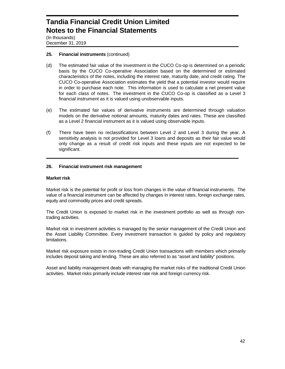(In thousands) December 31, 2019

### **25. Financial instruments** (continued)

- (d) The estimated fair value of the investment in the CUCO Co-op is determined on a periodic basis by the CUCO Co-operative Association based on the determined or estimated characteristics of the notes, including the interest rate, maturity date, and credit rating. The CUCO Co-operative Association estimates the yield that a potential investor would require in order to purchase each note. This information is used to calculate a net present value for each class of notes. The investment in the CUCO Co-op is classified as a Level 3 financial instrument as it is valued using unobservable inputs.
- (e) The estimated fair values of derivative instruments are determined through valuation models on the derivative notional amounts, maturity dates and rates. These are classified as a Level 2 financial instrument as it is valued using observable inputs.
- (f) There have been no reclassifications between Level 2 and Level 3 during the year. A sensitivity analysis is not provided for Level 3 loans and deposits as their fair value would only change as a result of credit risk inputs and these inputs are not expected to be significant.

### **26. Financial instrument risk management**

#### **Market risk**

Market risk is the potential for profit or loss from changes in the value of financial instruments. The value of a financial instrument can be affected by changes in interest rates, foreign exchange rates, equity and commodity prices and credit spreads.

The Credit Union is exposed to market risk in the investment portfolio as well as through nontrading activities.

Market risk in investment activities is managed by the senior management of the Credit Union and the Asset Liability Committee. Every investment transaction is guided by policy and regulatory limitations.

Market risk exposure exists in non-trading Credit Union transactions with members which primarily includes deposit taking and lending. These are also referred to as "asset and liability" positions.

Asset and liability management deals with managing the market risks of the traditional Credit Union activities. Market risks primarily include interest rate risk and foreign currency risk.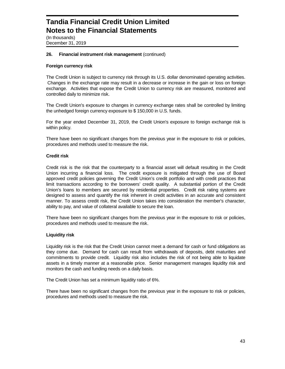(In thousands) December 31, 2019

### **26. Financial instrument risk management** (continued)

#### **Foreign currency risk**

The Credit Union is subject to currency risk through its U.S. dollar denominated operating activities. Changes in the exchange rate may result in a decrease or increase in the gain or loss on foreign exchange. Activities that expose the Credit Union to currency risk are measured, monitored and controlled daily to minimize risk.

The Credit Union's exposure to changes in currency exchange rates shall be controlled by limiting the unhedged foreign currency exposure to \$ 150,000 in U.S. funds.

For the year ended December 31, 2019, the Credit Union's exposure to foreign exchange risk is within policy.

There have been no significant changes from the previous year in the exposure to risk or policies, procedures and methods used to measure the risk.

#### **Credit risk**

Credit risk is the risk that the counterparty to a financial asset will default resulting in the Credit Union incurring a financial loss. The credit exposure is mitigated through the use of Board approved credit policies governing the Credit Union's credit portfolio and with credit practices that limit transactions according to the borrowers' credit quality. A substantial portion of the Credit Union's loans to members are secured by residential properties. Credit risk rating systems are designed to assess and quantify the risk inherent in credit activities in an accurate and consistent manner. To assess credit risk, the Credit Union takes into consideration the member's character, ability to pay, and value of collateral available to secure the loan.

There have been no significant changes from the previous year in the exposure to risk or policies, procedures and methods used to measure the risk.

#### **Liquidity risk**

Liquidity risk is the risk that the Credit Union cannot meet a demand for cash or fund obligations as they come due. Demand for cash can result from withdrawals of deposits, debt maturities and commitments to provide credit. Liquidity risk also includes the risk of not being able to liquidate assets in a timely manner at a reasonable price. Senior management manages liquidity risk and monitors the cash and funding needs on a daily basis.

The Credit Union has set a minimum liquidity ratio of 6%.

There have been no significant changes from the previous year in the exposure to risk or policies, procedures and methods used to measure the risk.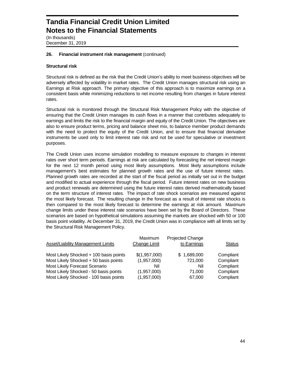(In thousands) December 31, 2019

### **26. Financial instrument risk management** (continued)

#### **Structural risk**

Structural risk is defined as the risk that the Credit Union's ability to meet business objectives will be adversely affected by volatility in market rates. The Credit Union manages structural risk using an Earnings at Risk approach. The primary objective of this approach is to maximize earnings on a consistent basis while minimizing reductions to net income resulting from changes in future interest rates.

Structural risk is monitored through the Structural Risk Management Policy with the objective of ensuring that the Credit Union manages its cash flows in a manner that contributes adequately to earnings and limits the risk to the financial margin and equity of the Credit Union. The objectives are also to ensure product terms, pricing and balance sheet mix, to balance member product demands with the need to protect the equity of the Credit Union, and to ensure that financial derivative instruments be used only to limit interest rate risk and not be used for speculative or investment purposes.

The Credit Union uses income simulation modelling to measure exposure to changes in interest rates over short term periods. Earnings at risk are calculated by forecasting the net interest margin for the next 12 month period using most likely assumptions. Most likely assumptions include management's best estimates for planned growth rates and the use of future interest rates. Planned growth rates are recorded at the start of the fiscal period as initially set out in the budget and modified to actual experience through the fiscal period. Future interest rates on new business and product renewals are determined using the future interest rates derived mathematically based on the term structure of interest rates. The impact of rate shock scenarios are measured against the most likely forecast. The resulting change in the forecast as a result of interest rate shocks is then compared to the most likely forecast to determine the earnings at risk amount. Maximum change limits under these interest rate scenarios have been set by the Board of Directors. These scenarios are based on hypothetical simulations assuming the markets are shocked with 50 or 100 basis point volatility. At December 31, 2019, the Credit Union was in compliance with all limits set by the Structural Risk Management Policy.

| <b>Asset/Liability Management Limits</b> | <b>Maximum</b><br>Change Limit | Projected Change<br>to Earnings | <b>Status</b> |
|------------------------------------------|--------------------------------|---------------------------------|---------------|
| Most Likely Shocked + 100 basis points   | \$(1,957,000)                  | \$1,689,000                     | Compliant     |
| Most Likely Shocked + 50 basis points    | (1,957,000)                    | 721,000                         | Compliant     |
| Most Likely Forecast Scenario            | Nil                            | Nil                             | Compliant     |
| Most Likely Shocked - 50 basis points    | (1,957,000)                    | 71,000                          | Compliant     |
| Most Likely Shocked - 100 basis points   | (1,957,000)                    | 67,000                          | Compliant     |